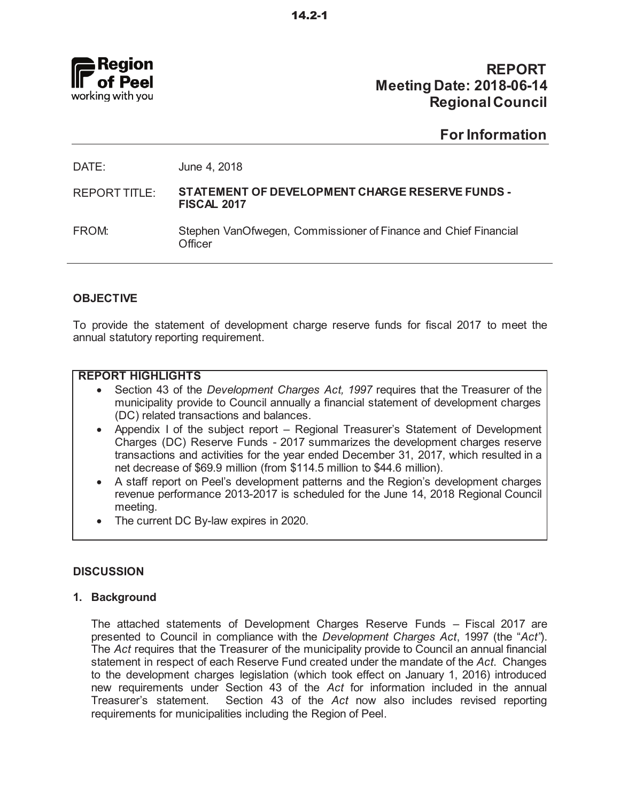

## **REPORT Meeting Date: 2018-06-14 Regional Council**

## **For Information**

| DATE:         | June 4, 2018                                                               |
|---------------|----------------------------------------------------------------------------|
| REPORT TITLE: | STATEMENT OF DEVELOPMENT CHARGE RESERVE FUNDS -<br><b>FISCAL 2017</b>      |
| FROM:         | Stephen VanOfwegen, Commissioner of Finance and Chief Financial<br>Officer |
|               |                                                                            |

## **OBJECTIVE**

To provide the statement of development charge reserve funds for fiscal 2017 to meet the annual statutory reporting requirement.

### **REPORT HIGHLIGHTS**

- Section 43 of the *Development Charges Act, 1997* requires that the Treasurer of the municipality provide to Council annually a financial statement of development charges (DC) related transactions and balances.
- Appendix I of the subject report Regional Treasurer's Statement of Development Charges (DC) Reserve Funds - 2017 summarizes the development charges reserve transactions and activities for the year ended December 31, 2017, which resulted in a net decrease of \$69.9 million (from \$114.5 million to \$44.6 million).
- A staff report on Peel's development patterns and the Region's development charges revenue performance 2013-2017 is scheduled for the June 14, 2018 Regional Council meeting.
- The current DC By-law expires in 2020.

## **DISCUSSION**

### **1. Background**

The attached statements of Development Charges Reserve Funds  $-$  Fiscal 2017 are presented to Council in compliance with the *Development Charges Act*, 1997 (the "Act"). The Act requires that the Treasurer of the municipality provide to Council an annual financial statement in respect of each Reserve Fund created under the mandate of the Act. Changes to the development charges legislation (which took effect on January 1, 2016) introduced new requirements under Section 43 of the Act for information included in the annual Treasurer's statement. Section 43 of the Act now also includes revised reporting requirements for municipalities including the Region of Peel.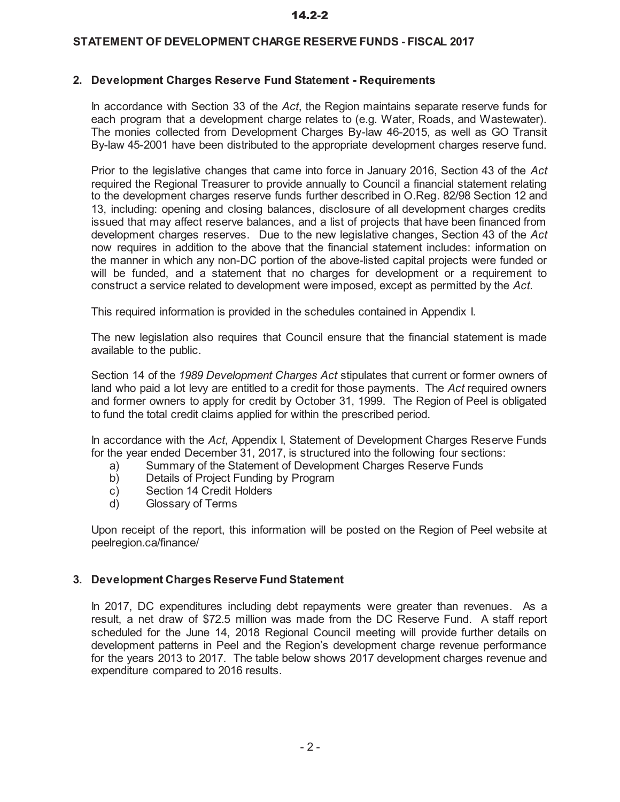## **STATEMENT OF DEVELOPMENT CHARGE RESERVE FUNDS - FISCAL 2017**

## **2. Development Charges Reserve Fund Statement - Requirements**

In accordance with Section 33 of the Act, the Region maintains separate reserve funds for each program that a development charge relates to (e.g. Water, Roads, and Wastewater). The monies collected from Development Charges By-law 46-2015, as well as GO Transit By-law 45-2001 have been distributed to the appropriate development charges reserve fund.

2D Prior to the legislative changes that came into force in January 2016, Section 43 of the Act required the Regional Treasurer to provide annually to Council a financial statement relating to the development charges reserve funds further described in O.Reg. 82/98 Section 12 and 13, including: opening and closing balances, disclosure of all development charges credits issued that may affect reserve balances, and a list of projects that have been financed from development charges reserves. Due to the new legislative changes, Section 43 of the Act now requires in addition to the above that the financial statement includes: information on the manner in which any non-DC portion of the above-listed capital projects were funded or will be funded, and a statement that no charges for development or a requirement to construct a service related to development were imposed, except as permitted by the Act.

This required information is provided in the schedules contained in Appendix I.

The new legislation also requires that Council ensure that the financial statement is made available to the public.

Section 14 of the 1989 Development Charges Act stipulates that current or former owners of land who paid a lot levy are entitled to a credit for those payments. The Act required owners and former owners to apply for credit by October 31, 1999. The Region of Peel is obligated to fund the total credit claims applied for within the prescribed period.

In accordance with the Act, Appendix I, Statement of Development Charges Reserve Funds for the year ended December 31, 2017, is structured into the following four sections:

- a) Summary of the Statement of Development Charges Reserve Funds<br>b) Details of Project Funding by Program
- Details of Project Funding by Program
- c) Section 14 Credit Holders
- d) Glossary of Terms

Upon receipt of the report, this information will be posted on the Region of Peel website at peelregion.ca/finance/

## **3. Development Charges Reserve Fund Statement**

In 2017, DC expenditures including debt repayments were greater than revenues. As a result, a net draw of \$72.5 million was made from the DC Reserve Fund. A staff report scheduled for the June 14, 2018 Regional Council meeting will provide further details on development patterns in Peel and the Region's development charge revenue performance for the years 2013 to 2017. The table below shows 2017 development charges revenue and expenditure compared to 2016 results.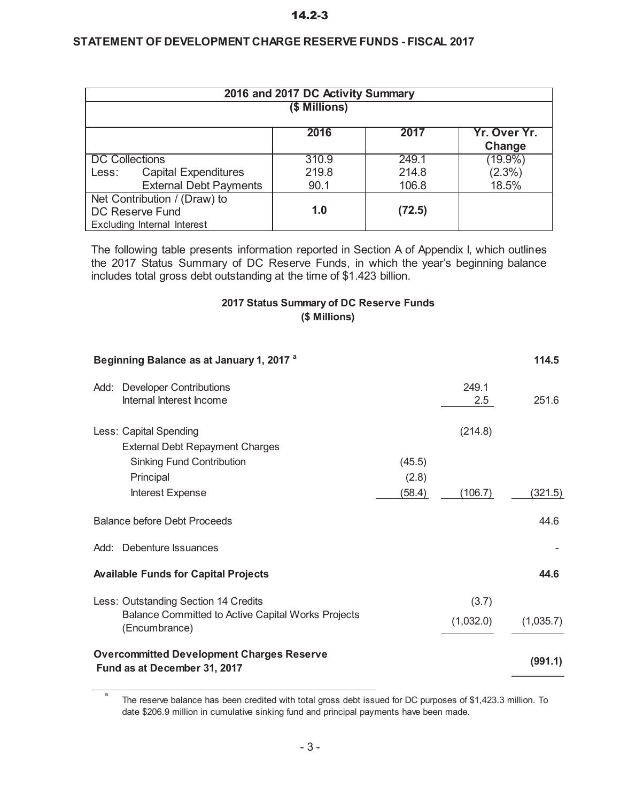### **STATEMENT OF DEVELOPMENT CHARGE RESERVE FUNDS - FISCAL 2017**

|                       |                                                 | 2016 and 2017 DC Activity Summary |        |                        |  |  |  |  |  |  |  |
|-----------------------|-------------------------------------------------|-----------------------------------|--------|------------------------|--|--|--|--|--|--|--|
|                       | (\$ Millions)                                   |                                   |        |                        |  |  |  |  |  |  |  |
|                       |                                                 | 2016                              | 2017   | Yr. Over Yr.<br>Change |  |  |  |  |  |  |  |
| <b>DC Collections</b> |                                                 | 310.9                             | 249.1  | $(19.9\%)$             |  |  |  |  |  |  |  |
| Less:                 | <b>Capital Expenditures</b>                     | 219.8                             | 214.8  | $(2.3\%)$              |  |  |  |  |  |  |  |
|                       | <b>External Debt Payments</b>                   | 90.1                              | 106.8  | 18.5%                  |  |  |  |  |  |  |  |
|                       | Net Contribution / (Draw) to<br>DC Reserve Fund | 1.0                               | (72.5) |                        |  |  |  |  |  |  |  |
|                       | <b>Excluding Internal Interest</b>              |                                   |        |                        |  |  |  |  |  |  |  |

The following table presents information reported in Section A of Appendix I, which outlines the 2017 Status Summary of DC Reserve Funds, in which the year's beginning balance includes total gross debt outstanding at the time of  $$1.423$  billion.

## **2017 Status Summary of DC Reserve Funds (\$ Millions)**

|      | Beginning Balance as at January 1, 2017 <sup>a</sup>                             |        |           | 114.5     |
|------|----------------------------------------------------------------------------------|--------|-----------|-----------|
| Add: | <b>Developer Contributions</b>                                                   |        | 249.1     |           |
|      | Internal Interest Income                                                         |        | 2.5       | 251.6     |
|      | Less: Capital Spending                                                           |        | (214.8)   |           |
|      | <b>External Debt Repayment Charges</b>                                           |        |           |           |
|      | <b>Sinking Fund Contribution</b>                                                 | (45.5) |           |           |
|      | Principal                                                                        | (2.8)  |           |           |
|      | Interest Expense                                                                 | (58.4) | (106.7)   | (321.5)   |
|      | <b>Balance before Debt Proceeds</b>                                              |        |           | 44.6      |
|      | Add: Debenture Issuances                                                         |        |           |           |
|      | <b>Available Funds for Capital Projects</b>                                      |        |           | 44.6      |
|      | Less: Outstanding Section 14 Credits                                             |        | (3.7)     |           |
|      | Balance Committed to Active Capital Works Projects<br>(Encumbrance)              |        | (1,032.0) | (1,035.7) |
|      | <b>Overcommitted Development Charges Reserve</b><br>Fund as at December 31, 2017 |        |           | (991.1)   |

 $\overline{a}$ The reserve balance has been credited with total gross debt issued for DC purposes of \$1,423.3 million. To date \$206.9 million in cumulative sinking fund and principal payments have been made.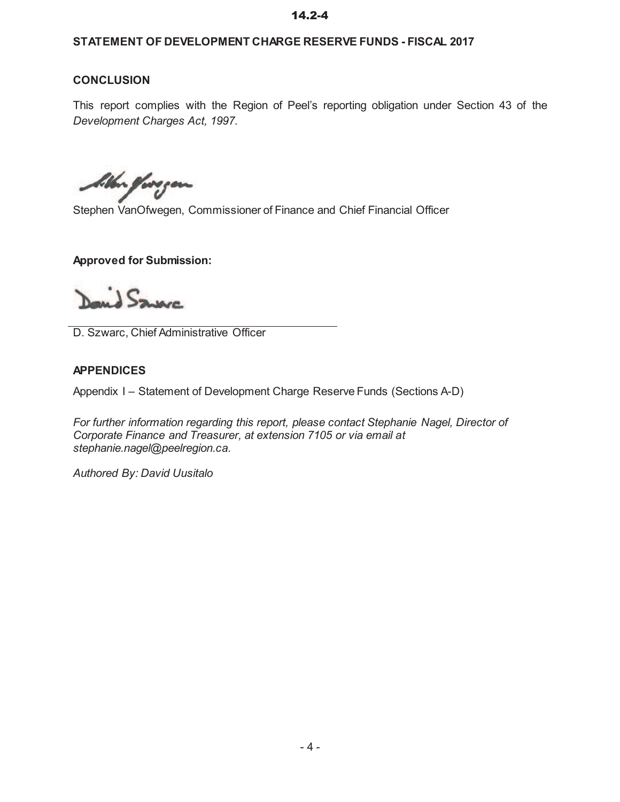## **STATEMENT OF DEVELOPMENT CHARGE RESERVE FUNDS - FISCAL 2017**

## **CONCLUSION**

This report complies with the Region of Peel's reporting obligation under Section 43 of the *Development Charges Act, 1997.*

bither foregon

Stephen VanOfwegen, Commissioner of Finance and Chief Financial Officer

**Approved for Submission:**

David Saven

D. Szwarc, Chief Administrative Officer

### **APPENDICES**

Appendix I - Statement of Development Charge Reserve Funds (Sections A-D)

*For further information regarding this report, please contact Stephanie Nagel, Director of Corporate Finance and Treasurer, at extension 7105 or via email at stephanie.nagel@peelregion.ca.* 

*Authored By: David Uusitalo*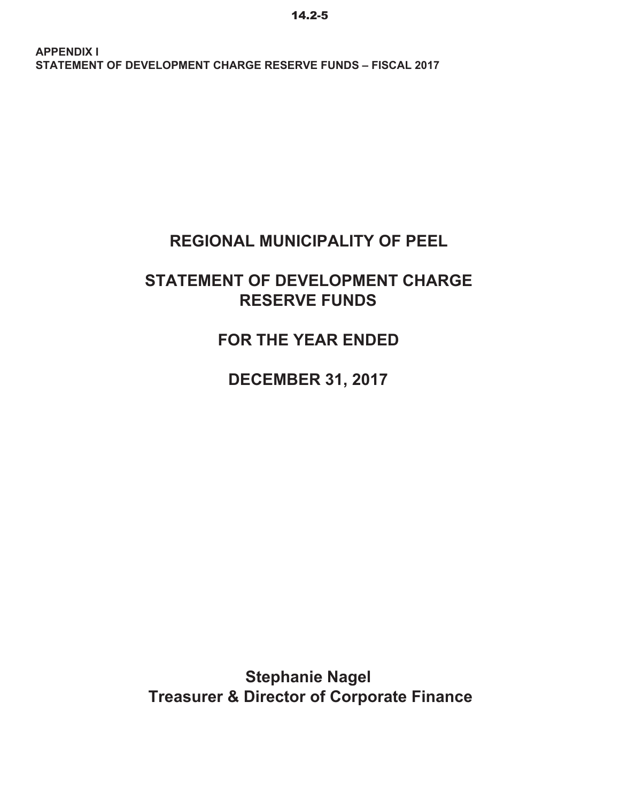## **REGIONAL MUNICIPALITY OF PEEL**

## **STATEMENT OF DEVELOPMENT CHARGE RESERVE FUNDS**

**FOR THE YEAR ENDED**

**DECEMBER 31, 2017**

 **Treasurer & Director of Corporate Finance Stephanie Nagel**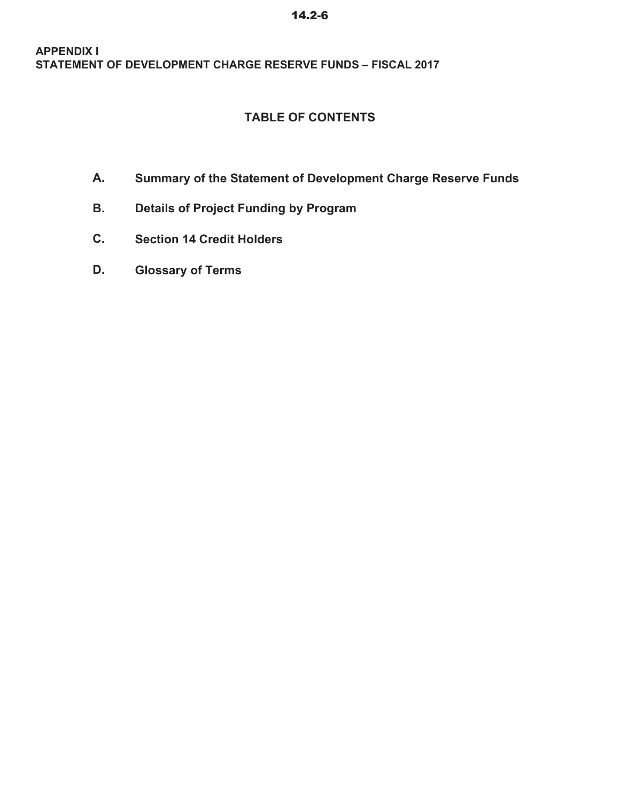## **TABLE OF CONTENTS**

- **A. Summary of the Statement of Development Charge Reserve Funds**
- **B. Details of Project Funding by Program**
- **C. Section 14 Credit Holders**
- **D. Glossary of Terms**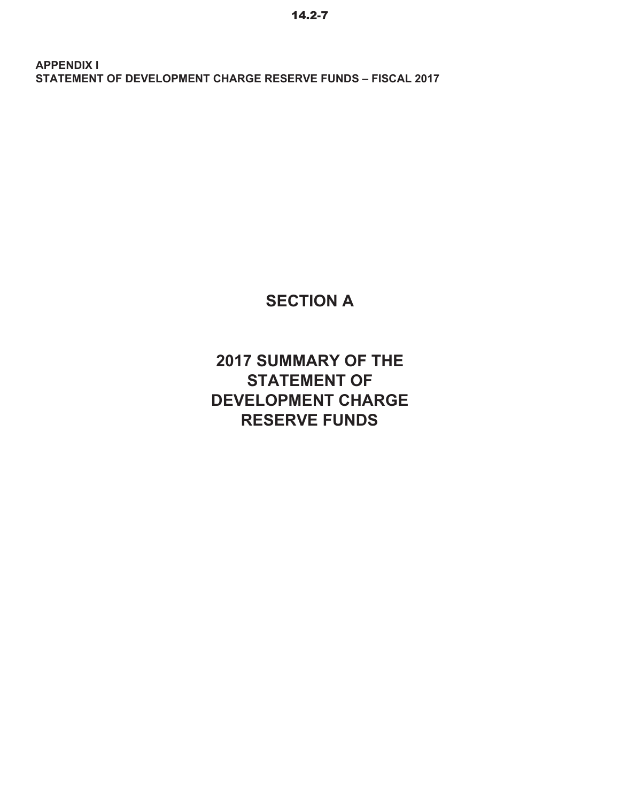**SECTION A**

**2017 SUMMARY OF THE STATEMENT OF DEVELOPMENT CHARGE RESERVE FUNDS**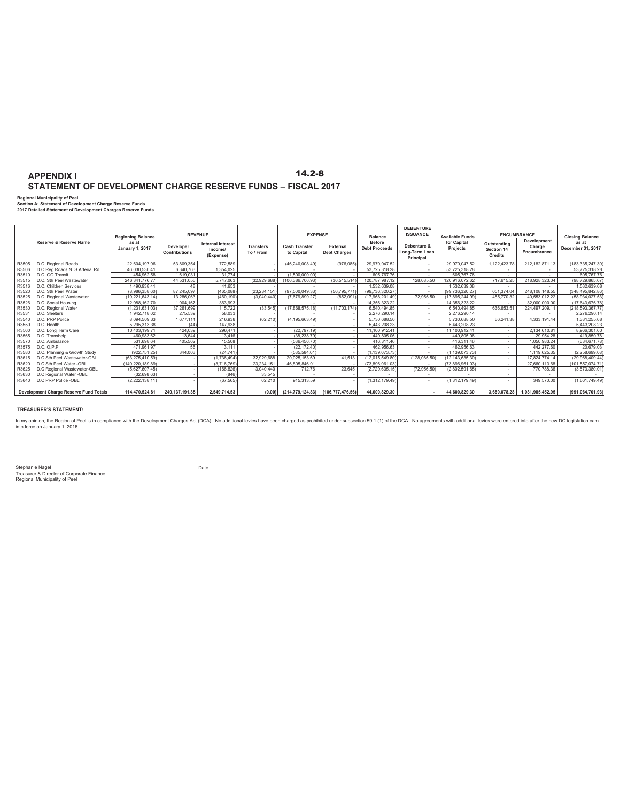**Regional Municipality of Peel Section A: Statement of Development Charge Reserve Funds 2017 Detailed Statement of Development Charges Reserve Funds**

|       |                                               | <b>Beginning Balance</b>        |                                   | <b>REVENUE</b>                                   |                               |                                    | <b>EXPENSE</b>                  | <b>Balance</b>                        | <b>DEBENTURE</b><br><b>ISSUANCE</b>        | <b>Available Funds</b>  |                                             | <b>ENCUMBRANCE</b>                   | <b>Closing Balance</b>     |
|-------|-----------------------------------------------|---------------------------------|-----------------------------------|--------------------------------------------------|-------------------------------|------------------------------------|---------------------------------|---------------------------------------|--------------------------------------------|-------------------------|---------------------------------------------|--------------------------------------|----------------------------|
|       | Reserve & Reserve Name                        | as at<br><b>January 1, 2017</b> | Developer<br><b>Contributions</b> | <b>Internal Interest</b><br>Income/<br>(Expense) | <b>Transfers</b><br>To / From | <b>Cash Transfer</b><br>to Capital | External<br><b>Debt Charges</b> | <b>Before</b><br><b>Debt Proceeds</b> | Debenture &<br>Long-Term Loan<br>Principal | for Capital<br>Projects | Outstanding<br>Section 14<br><b>Credits</b> | Development<br>Charge<br>Encumbrance | as at<br>December 31, 2017 |
| R3505 | D.C. Regional Roads                           | 22.604.197.96                   | 53.809.354                        | 772.589                                          |                               | (46.240.008.49)                    | (976, 085)                      | 29.970.047.52                         |                                            | 29.970.047.52           | 1.122.423.78                                | 212.182.871.13                       | (183, 335, 247. 39)        |
| R3506 | D.C Reg Roads N S Arterial Rd                 | 46.030.530.41                   | 6.340.763                         | 1,354,025                                        |                               |                                    |                                 | 53,725,318.28                         |                                            | 53.725.318.28           |                                             |                                      | 53.725.318.28              |
| R3510 | D.C. GO Transit                               | 454.962.58                      | 1.619.031                         | 31.774                                           |                               | (1.500.000.00)                     |                                 | 605.767.76                            | ۰.                                         | 605,767.76              |                                             |                                      | 605,767.76                 |
| R3515 | D.C. Sth Peel Wastewater                      | 246.341.776.77                  | 44.531.056                        | 5,747,063                                        | (32,929,688)                  | (106.386.706.93)                   | (36, 515, 514)                  | 120,787,987.12                        | 128.085.50                                 | 120,916,072.62          | 717.615.25                                  | 218,928,323.04                       | (98.729.865.67)            |
| R3516 | D.C. Children Services                        | 490.938.41                      | 48                                | 41.653                                           |                               |                                    |                                 | .532.639.08                           |                                            | 1.532.639.08            |                                             |                                      | 1.532.639.08               |
| R3520 | D.C. Sth Peel Water                           | (8.986.358.60)                  | 87,245,097                        | (465, 088)                                       | (23,234,151                   | (97,500,049.33)                    | (56,795,771                     | (99,736,320.27)                       |                                            | (99, 736, 320.27)       | 651.374.04                                  | 248.108.148.55                       | (348,495,842.86)           |
| R3525 | D.C. Regional Wastewater                      | (19.221.643.14)                 | 13.286.063                        | (460.190)                                        | (3.040.440)                   | (7.679.899.27                      | (852.091)                       | (17.968.201.49)                       | 72.956.50                                  | (17.895.244.99)         | 485.770.32                                  | 40.553.012.22                        | (58.934.027.53)            |
| R3526 | D.C. Social Housing                           | 12.088.162.70                   | 1.904.167                         | 363.993                                          |                               |                                    |                                 | 14.356.323.22                         |                                            | 14.356.323.22           |                                             | 32.000.000.00                        | (17.643.676.78)            |
| R3530 | D.C. Regional Water                           | (1,231,631.03)                  | 37,261,699                        | 115,722                                          | (33, 545)                     | (17,868,575.18)                    | (11, 703, 174)                  | 6.540.494.85                          |                                            | 6.540.494.85            | 636.653.51                                  | 224,497,209.11                       | (218,593,367.77)           |
| R3531 | D.C. Shelters                                 | 1.942.718.02                    | 275.539                           | 58.033                                           |                               |                                    |                                 | 2.276.290.14                          |                                            | 2.276.290.14            |                                             |                                      | 2.276.290.14               |
| R3540 | D.C. PRP Police                               | 8.094.509.33                    | 1.677.114                         | 216,938                                          | (62, 210)                     | (4, 195, 663.49)                   |                                 | 5,730,688.50                          | ۰.                                         | 5.730.688.50            | 66.241.38                                   | 4,333,191.44                         | 1,331,255.68               |
| R3550 | D.C. Health                                   | 5.295.313.38                    | (44)                              | 147,938                                          |                               |                                    |                                 | 5,443,208.23                          | ۰.                                         | 5,443,208.23            |                                             | ×.                                   | 5,443,208.23               |
| R3560 | D.C. Long Term Care                           | 10.403.199.7                    | 424.039                           | 296.471                                          |                               | (22.797.19)                        |                                 | 11.100.912.41                         | ۰.                                         | 11.100.912.41           | $\sim$                                      | 2.134.610.81                         | 8.966.301.60               |
| R3565 | D.C. Transhelp                                | 460.983.62                      | 13.644                            | 13,416                                           |                               | (38.238.79)                        |                                 | 449,805.06                            | ۰.                                         | 449,805.06              |                                             | 29,954.28                            | 419.850.78                 |
| R3570 | D.C. Ambulance                                | 531.698.64                      | 405.562                           | 15,508                                           |                               | (536.456.70                        |                                 | 416.311.46                            |                                            | 416.311.46              | $\sim$                                      | 1.050.983.24                         | (634.671.78)               |
| R3575 | D.C. O.P.P                                    | 471.961.97                      | 56                                | 13,111                                           |                               | (22.172.40)                        |                                 | 462.956.63                            |                                            | 462.956.63              |                                             | 442.277.60                           | 20.679.03                  |
| R3580 | D.C. Planning & Growth Study                  | (922.751.25)                    | 344,003                           | (24.741)                                         |                               | (535.584.01                        |                                 | (1.139.073.73)                        |                                            | (1.139.073.73)          |                                             | 1.119.625.35                         | (2,258,699.08)             |
| R3615 | D.C Sth Peel Wastewater-OBL                   | (63.275.410.59)                 |                                   | (1,736,494)                                      | 32.929.688                    | 20.025.153.69                      | 41,513                          | (12.015.549.80)                       | (128,085.50                                | (12.143.635.30)         |                                             | 17.824.774.14                        | (29,968,409.44)            |
| R3620 | D.C Sth Peel Water -OBL                       | (140.220.189.89)                |                                   | (3,716,769)                                      | 23,234,151                    | 46,805,846.91                      |                                 | (73,896,961.03)                       |                                            | (73,896,961.03)         |                                             | 27,660,113.68                        | (101,557,074.71)           |
| R3625 | D.C Regional Wastewater-OBL                   | (5.627.607.45)                  |                                   | (166, 826)                                       | 3.040.440                     | 712.76                             | 23,645                          | (2,729,635.15)                        | (72,956.50)                                | (2,802,591.65)          | - 1                                         | 770,788.36                           | (3,573,380.01)             |
| R3630 | D.C Regional Water -OBL                       | (32.698.63)                     |                                   | (846)                                            | 33.545                        |                                    |                                 |                                       |                                            |                         |                                             |                                      |                            |
| R3640 | D.C PRP Police -OBL                           | (2,222,138.11                   |                                   | (67.565)                                         | 62.210                        | 915,313.59                         |                                 | (1,312,179.49)                        | $\sim$                                     | (1,312,179.49)          |                                             | 349,570.00                           | (1,661,749.49)             |
|       | <b>Development Charge Reserve Fund Totals</b> | 114,470,524.81                  | 249.137.191.35                    | 2.549.714.53                                     | (0.00)                        | (214,779,124.83)                   | (106, 777, 476.56)              | 44.600.829.30                         |                                            | 44.600.829.30           | 3.680.078.28                                | 1.031.985.452.95                     | (991,064,701.93)           |

#### **TREASURER'S STATEMENT:**

 $\overline{a}$ 

In my opinion, the Region of Peel is in compliance with the Development Charges Act (DCA). No additional levies have been charged as prohibited under subsection 59.1 (1) of the DCA. No agreements with additional levies wer

Treasurer & Director of Corporate Finance Regional Municipality of Peel Stephanie Nagel

 $\overline{\phantom{a}}$ Date

the company of the company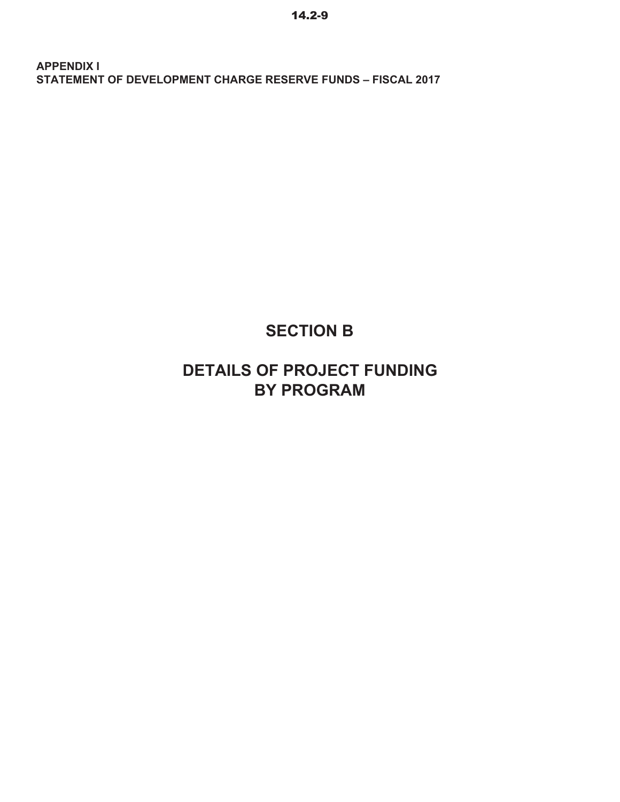# **SECTION B**

## **DETAILS OF PROJECT FUNDING BY PROGRAM**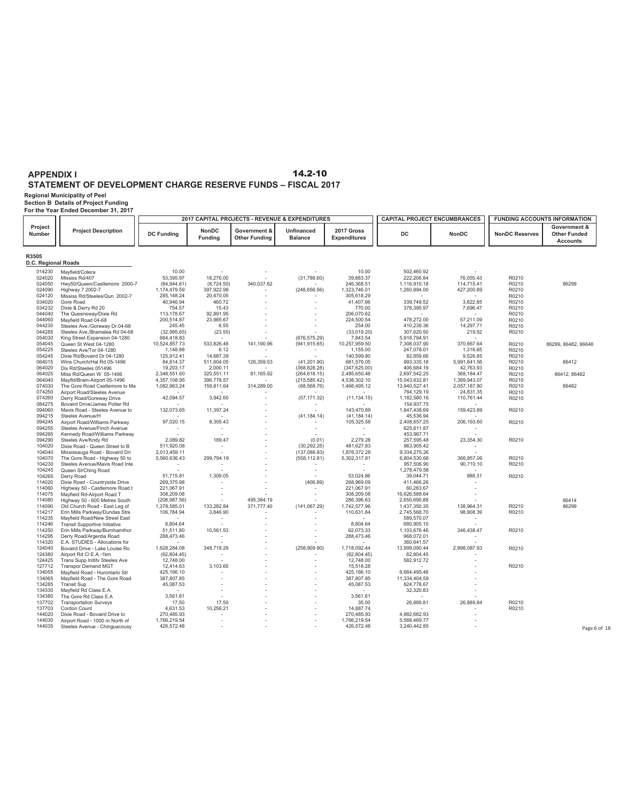**Regional Municipality of Peel Section B Details of Project Funding For the Year Ended December 31, 2017**

| Project<br>Government &<br>NonDC<br>2017 Gross<br><b>Project Description</b><br>Government &<br>Unfinanced<br><b>DC</b><br><b>DC Funding</b><br>NonDC<br><b>NonDC Reserves</b><br>Number<br><b>Other Funded</b><br><b>Funding</b><br><b>Other Funding</b><br><b>Balance</b><br><b>Expenditures</b><br><b>Accounts</b><br>R3505<br>D.C. Regional Roads<br>Mayfield/Colera<br>10.00<br>10.00<br>502,460.92<br>014230<br>$\sim$<br>53,395.97<br>18,276.00<br>(31,788.60)<br>76,055.43<br>024020<br>Mississ Rd/407<br>39,883.37<br>222,206.84<br>R0210<br>340,037.62<br>1,116,910.18<br>024050<br>Hwy50/Queen/Castlemore 2000-7<br>(84, 944.61)<br>(8,724.50)<br>246,368.51<br>114,715.41<br>R0210<br>86299<br>024090<br>1,174,479.59<br>397,922.98<br>(248, 656.56)<br>1,323,746.01<br>1,260,894.00<br>427,200.89<br>Highway 7 2002-7<br>R0210<br>Mississ Rd/Steeles/Qun 2002-7<br>024120<br>285,148.24<br>20,470.05<br>305,618.29<br>R0210<br>40,946.94<br>460.72<br>41,407.66<br>3,822.85<br>R0210<br>034020<br>Gore Road<br>339,749.52<br>7,696.47<br>034232<br>Dixie & Derry Rd 20<br>754.57<br>15.43<br>770.00<br>376,395.97<br>R0210<br>113,178.67<br>92,891.95<br>044040<br>206,070.62<br>The Queensway/Dixie Rd<br>R0210<br>044060<br>200,514.87<br>23,985.67<br>224,500.54<br>478,272.00<br>57,211.09<br>Mayfield Road 04-68<br>R0210<br>044230<br>245.45<br>8.55<br>254.00<br>410,236.36<br>14,297.71<br>Steeles Ave./Goreway Dr.04-68<br>R0210<br>219.52<br>044285<br>Steeles Ave./Bramalea Rd 04-68<br>(32,995.65)<br>(23.55)<br>(33,019.20)<br>307,620.50<br>R0210<br>054030<br>King Street Expansion 04-1280<br>684,418.83<br>(676, 575.29)<br>7,843.54<br>5,918,794.91<br>533,826.46<br>370,667.64<br>054045<br>Queen St West 04-1280<br>10,524,857.73<br>141,190.96<br>(941, 915.65)<br>10,257,959.50<br>7,308,037.90<br>R0210<br>86299, 86482, 86648<br>054225<br>1,148.88<br>6.12<br>1,316.65<br>1,155.00<br>247,078.01<br>R0210<br>Steeles Ave/Tor 04-1280<br>125,912.41<br>14,687.39<br>140,599.80<br>82,859.66<br>9,526.85<br>054245<br>Dixie Rd/Bovaird Dr 04-1280<br>$\sim$<br>R0210<br>064015<br>84,814.37<br>511,604.05<br>126,359.53<br>(41, 201.90)<br>681,576.05<br>993,335.18<br>5,991,841.56<br>Wins Church/Hal Rd 05-1496<br>R0210<br>86412<br>064020<br>19,203.17<br>2,000.11<br>42,763.93<br>R0210<br>Dix Rd/Steeles 051496<br>(368, 828.28)<br>(347, 625.00)<br>406,684.19<br>2,348,551.60<br>320,551.11<br>368,184.47<br>R0210<br>86412, 86482<br>064025<br>Miss Rd/Queen W 05-1496<br>81,165.92<br>(264, 618.15)<br>2,485,650.48<br>2,697,542.25<br>064040<br>Mayfld/Bram-Airport 05-1496<br>4,357,108.95<br>396.778.57<br>4,538,302.10<br>15,043,632.81<br>1.369.943.07<br>R0210<br>(215, 585.42)<br>074030<br>1,082,963.24<br>159,811.64<br>314,289.00<br>(88, 568.76)<br>1,468,495.12<br>13,940,527.41<br>2,057,187.80<br>R0210<br>86482<br>The Gore Road Castlemore to Ma<br>074250<br>24,831.35<br>764,129.19<br>Airport Road/Steeles Avenue<br>R0210<br>074260<br>Derry Road/Goreway Drive<br>42,094.57<br>3,942.60<br>(57, 171.32)<br>(11, 134.15)<br>1,182,580.16<br>110,761.44<br>R0210<br>084275<br>Bovaird Drive/James Potter Rd<br>154,937.75<br>132,073.65<br>159,423.89<br>R0210<br>Mavis Road - Steeles Avenue to<br>11,397.24<br>143,470.89<br>1,847,438.69<br>094060<br>094215<br>Steeles Avenue/H<br>(41, 184, 14)<br>(41, 184, 14)<br>45,536.94<br>97,020.15<br>094245<br>8,305.43<br>105,325.58<br>2,408,657.25<br>206,193.60<br>R0210<br>Airport Road/Williams Parkway<br>094255<br>625,611.87<br>Steeles Avenue/Finch Avenue<br>٠<br>$\sim$<br>$\sim$<br>÷<br>094265<br>453,967.71<br>Kennedy Road/Williams Parkway<br>÷<br>094290<br>Steeles Ave/Kndy Rd<br>2,089.82<br>189.47<br>(0.01)<br>2.279.28<br>257,595.48<br>23,354.30<br>R0210<br>104020<br>Dixie Road - Queen Street to B<br>511,920.08<br>(30, 292.25)<br>481,627.83<br>963,905.42<br>$\overline{\phantom{a}}$<br>104040<br>2,013,459.11<br>(137,086.83)<br>1,876,372.28<br>9,334,275.26<br>Mississauga Road - Bovaird Dri<br>104070<br>The Gore Road - Highway 50 to<br>5,560,636.43<br>299,794.19<br>(558, 112.81)<br>5,302,317.81<br>6,804,530.68<br>366,857.06<br>R0210<br>104230<br>Steeles Avenue/Mavis Road Inte<br>957,506.90<br>90,710.10<br>R0210<br>104245<br>Queen St/Ching Road<br>1,278,479.58<br>$\sim$<br>$\sim$<br>51,715.81<br>1,309.05<br>53,024.86<br>988.31<br>R0210<br>104265<br>Derry Road<br>39,044.71<br>÷<br>Dixie Road - Countryside Drive<br>269,375.98<br>114020<br>(406.89)<br>268,969.09<br>411,466.26<br>114060<br>Highway 50 - Castlemore Road t<br>221,067.91<br>221,067.91<br>60,283.67<br>114075<br>Mayfield Rd-Airport Road T<br>308,209.08<br>308,209.08<br>16,626,588.64<br>86414<br>114080<br>Highway 50 - 600 Metres South<br>(208, 987.56)<br>495,384.19<br>286,396.63<br>2,650,690.88<br>R0210<br>86299<br>114090<br>Old Church Road - East Leg of<br>1,378,585.01<br>133,282.84<br>371,777.40<br>(141, 067.29)<br>1,742,577.96<br>1,437,350.35<br>138,964.31<br>98,908.39<br>Erin Mills Parkway/Dundas Stre<br>106,784.94<br>3,846.90<br>110,631.84<br>R0210<br>114217<br>2,745,568.70<br>589,570.07<br>114235<br>Mayfield Road/New Street East<br>114246<br>8,804.64<br>8,804.64<br>680,905.10<br><b>Transit Supportive Initiative</b><br>114250<br>51,511.80<br>10,561.53<br>62,073.33<br>1,103,676.46<br>346,438.47<br>R0210<br>Erin Mills Parkway/Burnhamthor<br>114295<br>Derry Road/Argentia Road<br>288,473.46<br>288,473.46<br>968,072.01<br>$\sim$<br>114320<br>E.A. STUDIES - Allocations for<br>360,641.57<br>124040<br>Bovaird Drive - Lake Louise Ro<br>1,628,284.08<br>348,718.26<br>(258,909.90)<br>1,718,092.44<br>13,999,090.44<br>2,998,087.93<br>R0210<br>124380<br>(62, 804.45)<br>(62, 804.45)<br>62,804.45<br>Airport Rd Cl E.A.-1km<br>124425<br>Trans Supp Initity Steeles Ave<br>12,748.00<br>12,748.00<br>582,912.72<br>127712<br>3,103.65<br><b>Transpor Demand MGT</b><br>12,414.63<br>15,518.28<br>R0210<br>134055<br>Mayfield Road - Hurontario Str<br>425,166.10<br>425,166.10<br>6,664,495.46<br>Mayfield Road - The Gore Road<br>134065<br>387,807.85<br>387,807.85<br>11,334,404.59<br>45,087.53<br>45,087.53<br>134285<br><b>Transit Sup</b><br>824,778.67<br>134330<br>32,320.83<br>Mayfield Rd Class E.A.<br>3,561.61<br>3,561.61<br>134380<br>The Gore Rd Class E.A<br>137702<br>17.50<br>17.50<br>35.00<br>26,889.81<br>26,889.84<br>R0210<br><b>Transportation Surveys</b><br>137703<br>Cordon Count<br>4,631.53<br>10,256.21<br>14,887.74<br>R0210<br>144020<br>Dixie Road - Bovaird Drive to<br>270,485.93<br>270,485.93<br>4,982,682.93<br>144030<br>Airport Road - 1000 m North of<br>1,766,219.54<br>1,766,219.54<br>5,568,469.77<br>144035<br>426,572.48<br>426,572.48<br>3,240,442.85 |                               |  | 2017 CAPITAL PROJECTS - REVENUE & EXPENDITURES | <b>CAPITAL PROJECT ENCUMBRANCES</b> |  | <b>FUNDING ACCOUNTS INFORMATION</b> |
|------------------------------------------------------------------------------------------------------------------------------------------------------------------------------------------------------------------------------------------------------------------------------------------------------------------------------------------------------------------------------------------------------------------------------------------------------------------------------------------------------------------------------------------------------------------------------------------------------------------------------------------------------------------------------------------------------------------------------------------------------------------------------------------------------------------------------------------------------------------------------------------------------------------------------------------------------------------------------------------------------------------------------------------------------------------------------------------------------------------------------------------------------------------------------------------------------------------------------------------------------------------------------------------------------------------------------------------------------------------------------------------------------------------------------------------------------------------------------------------------------------------------------------------------------------------------------------------------------------------------------------------------------------------------------------------------------------------------------------------------------------------------------------------------------------------------------------------------------------------------------------------------------------------------------------------------------------------------------------------------------------------------------------------------------------------------------------------------------------------------------------------------------------------------------------------------------------------------------------------------------------------------------------------------------------------------------------------------------------------------------------------------------------------------------------------------------------------------------------------------------------------------------------------------------------------------------------------------------------------------------------------------------------------------------------------------------------------------------------------------------------------------------------------------------------------------------------------------------------------------------------------------------------------------------------------------------------------------------------------------------------------------------------------------------------------------------------------------------------------------------------------------------------------------------------------------------------------------------------------------------------------------------------------------------------------------------------------------------------------------------------------------------------------------------------------------------------------------------------------------------------------------------------------------------------------------------------------------------------------------------------------------------------------------------------------------------------------------------------------------------------------------------------------------------------------------------------------------------------------------------------------------------------------------------------------------------------------------------------------------------------------------------------------------------------------------------------------------------------------------------------------------------------------------------------------------------------------------------------------------------------------------------------------------------------------------------------------------------------------------------------------------------------------------------------------------------------------------------------------------------------------------------------------------------------------------------------------------------------------------------------------------------------------------------------------------------------------------------------------------------------------------------------------------------------------------------------------------------------------------------------------------------------------------------------------------------------------------------------------------------------------------------------------------------------------------------------------------------------------------------------------------------------------------------------------------------------------------------------------------------------------------------------------------------------------------------------------------------------------------------------------------------------------------------------------------------------------------------------------------------------------------------------------------------------------------------------------------------------------------------------------------------------------------------------------------------------------------------------------------------------------------------------------------------------------------------------------------------------------------------------------------------------------------------------------------------------------------------------------------------------------------------------------------------------------------------------------------------------------------------------------------------------------------------------------------------------------------------------------------------------------------------------------------------------------------------------------------------------------------------------------------------------------------------------------------------------------------------------------------------------------------------------------------------------------------------------------------------------------------------------------------------------------------------------------------------------------------------------------------------------------------------------------------------|-------------------------------|--|------------------------------------------------|-------------------------------------|--|-------------------------------------|
|                                                                                                                                                                                                                                                                                                                                                                                                                                                                                                                                                                                                                                                                                                                                                                                                                                                                                                                                                                                                                                                                                                                                                                                                                                                                                                                                                                                                                                                                                                                                                                                                                                                                                                                                                                                                                                                                                                                                                                                                                                                                                                                                                                                                                                                                                                                                                                                                                                                                                                                                                                                                                                                                                                                                                                                                                                                                                                                                                                                                                                                                                                                                                                                                                                                                                                                                                                                                                                                                                                                                                                                                                                                                                                                                                                                                                                                                                                                                                                                                                                                                                                                                                                                                                                                                                                                                                                                                                                                                                                                                                                                                                                                                                                                                                                                                                                                                                                                                                                                                                                                                                                                                                                                                                                                                                                                                                                                                                                                                                                                                                                                                                                                                                                                                                                                                                                                                                                                                                                                                                                                                                                                                                                                                                                                                                                                                                                                                                                                                                                                                                                                                                                                                                                                                                                                                      |                               |  |                                                |                                     |  |                                     |
|                                                                                                                                                                                                                                                                                                                                                                                                                                                                                                                                                                                                                                                                                                                                                                                                                                                                                                                                                                                                                                                                                                                                                                                                                                                                                                                                                                                                                                                                                                                                                                                                                                                                                                                                                                                                                                                                                                                                                                                                                                                                                                                                                                                                                                                                                                                                                                                                                                                                                                                                                                                                                                                                                                                                                                                                                                                                                                                                                                                                                                                                                                                                                                                                                                                                                                                                                                                                                                                                                                                                                                                                                                                                                                                                                                                                                                                                                                                                                                                                                                                                                                                                                                                                                                                                                                                                                                                                                                                                                                                                                                                                                                                                                                                                                                                                                                                                                                                                                                                                                                                                                                                                                                                                                                                                                                                                                                                                                                                                                                                                                                                                                                                                                                                                                                                                                                                                                                                                                                                                                                                                                                                                                                                                                                                                                                                                                                                                                                                                                                                                                                                                                                                                                                                                                                                                      |                               |  |                                                |                                     |  |                                     |
|                                                                                                                                                                                                                                                                                                                                                                                                                                                                                                                                                                                                                                                                                                                                                                                                                                                                                                                                                                                                                                                                                                                                                                                                                                                                                                                                                                                                                                                                                                                                                                                                                                                                                                                                                                                                                                                                                                                                                                                                                                                                                                                                                                                                                                                                                                                                                                                                                                                                                                                                                                                                                                                                                                                                                                                                                                                                                                                                                                                                                                                                                                                                                                                                                                                                                                                                                                                                                                                                                                                                                                                                                                                                                                                                                                                                                                                                                                                                                                                                                                                                                                                                                                                                                                                                                                                                                                                                                                                                                                                                                                                                                                                                                                                                                                                                                                                                                                                                                                                                                                                                                                                                                                                                                                                                                                                                                                                                                                                                                                                                                                                                                                                                                                                                                                                                                                                                                                                                                                                                                                                                                                                                                                                                                                                                                                                                                                                                                                                                                                                                                                                                                                                                                                                                                                                                      |                               |  |                                                |                                     |  |                                     |
|                                                                                                                                                                                                                                                                                                                                                                                                                                                                                                                                                                                                                                                                                                                                                                                                                                                                                                                                                                                                                                                                                                                                                                                                                                                                                                                                                                                                                                                                                                                                                                                                                                                                                                                                                                                                                                                                                                                                                                                                                                                                                                                                                                                                                                                                                                                                                                                                                                                                                                                                                                                                                                                                                                                                                                                                                                                                                                                                                                                                                                                                                                                                                                                                                                                                                                                                                                                                                                                                                                                                                                                                                                                                                                                                                                                                                                                                                                                                                                                                                                                                                                                                                                                                                                                                                                                                                                                                                                                                                                                                                                                                                                                                                                                                                                                                                                                                                                                                                                                                                                                                                                                                                                                                                                                                                                                                                                                                                                                                                                                                                                                                                                                                                                                                                                                                                                                                                                                                                                                                                                                                                                                                                                                                                                                                                                                                                                                                                                                                                                                                                                                                                                                                                                                                                                                                      |                               |  |                                                |                                     |  |                                     |
|                                                                                                                                                                                                                                                                                                                                                                                                                                                                                                                                                                                                                                                                                                                                                                                                                                                                                                                                                                                                                                                                                                                                                                                                                                                                                                                                                                                                                                                                                                                                                                                                                                                                                                                                                                                                                                                                                                                                                                                                                                                                                                                                                                                                                                                                                                                                                                                                                                                                                                                                                                                                                                                                                                                                                                                                                                                                                                                                                                                                                                                                                                                                                                                                                                                                                                                                                                                                                                                                                                                                                                                                                                                                                                                                                                                                                                                                                                                                                                                                                                                                                                                                                                                                                                                                                                                                                                                                                                                                                                                                                                                                                                                                                                                                                                                                                                                                                                                                                                                                                                                                                                                                                                                                                                                                                                                                                                                                                                                                                                                                                                                                                                                                                                                                                                                                                                                                                                                                                                                                                                                                                                                                                                                                                                                                                                                                                                                                                                                                                                                                                                                                                                                                                                                                                                                                      |                               |  |                                                |                                     |  |                                     |
|                                                                                                                                                                                                                                                                                                                                                                                                                                                                                                                                                                                                                                                                                                                                                                                                                                                                                                                                                                                                                                                                                                                                                                                                                                                                                                                                                                                                                                                                                                                                                                                                                                                                                                                                                                                                                                                                                                                                                                                                                                                                                                                                                                                                                                                                                                                                                                                                                                                                                                                                                                                                                                                                                                                                                                                                                                                                                                                                                                                                                                                                                                                                                                                                                                                                                                                                                                                                                                                                                                                                                                                                                                                                                                                                                                                                                                                                                                                                                                                                                                                                                                                                                                                                                                                                                                                                                                                                                                                                                                                                                                                                                                                                                                                                                                                                                                                                                                                                                                                                                                                                                                                                                                                                                                                                                                                                                                                                                                                                                                                                                                                                                                                                                                                                                                                                                                                                                                                                                                                                                                                                                                                                                                                                                                                                                                                                                                                                                                                                                                                                                                                                                                                                                                                                                                                                      |                               |  |                                                |                                     |  |                                     |
|                                                                                                                                                                                                                                                                                                                                                                                                                                                                                                                                                                                                                                                                                                                                                                                                                                                                                                                                                                                                                                                                                                                                                                                                                                                                                                                                                                                                                                                                                                                                                                                                                                                                                                                                                                                                                                                                                                                                                                                                                                                                                                                                                                                                                                                                                                                                                                                                                                                                                                                                                                                                                                                                                                                                                                                                                                                                                                                                                                                                                                                                                                                                                                                                                                                                                                                                                                                                                                                                                                                                                                                                                                                                                                                                                                                                                                                                                                                                                                                                                                                                                                                                                                                                                                                                                                                                                                                                                                                                                                                                                                                                                                                                                                                                                                                                                                                                                                                                                                                                                                                                                                                                                                                                                                                                                                                                                                                                                                                                                                                                                                                                                                                                                                                                                                                                                                                                                                                                                                                                                                                                                                                                                                                                                                                                                                                                                                                                                                                                                                                                                                                                                                                                                                                                                                                                      |                               |  |                                                |                                     |  |                                     |
|                                                                                                                                                                                                                                                                                                                                                                                                                                                                                                                                                                                                                                                                                                                                                                                                                                                                                                                                                                                                                                                                                                                                                                                                                                                                                                                                                                                                                                                                                                                                                                                                                                                                                                                                                                                                                                                                                                                                                                                                                                                                                                                                                                                                                                                                                                                                                                                                                                                                                                                                                                                                                                                                                                                                                                                                                                                                                                                                                                                                                                                                                                                                                                                                                                                                                                                                                                                                                                                                                                                                                                                                                                                                                                                                                                                                                                                                                                                                                                                                                                                                                                                                                                                                                                                                                                                                                                                                                                                                                                                                                                                                                                                                                                                                                                                                                                                                                                                                                                                                                                                                                                                                                                                                                                                                                                                                                                                                                                                                                                                                                                                                                                                                                                                                                                                                                                                                                                                                                                                                                                                                                                                                                                                                                                                                                                                                                                                                                                                                                                                                                                                                                                                                                                                                                                                                      |                               |  |                                                |                                     |  |                                     |
|                                                                                                                                                                                                                                                                                                                                                                                                                                                                                                                                                                                                                                                                                                                                                                                                                                                                                                                                                                                                                                                                                                                                                                                                                                                                                                                                                                                                                                                                                                                                                                                                                                                                                                                                                                                                                                                                                                                                                                                                                                                                                                                                                                                                                                                                                                                                                                                                                                                                                                                                                                                                                                                                                                                                                                                                                                                                                                                                                                                                                                                                                                                                                                                                                                                                                                                                                                                                                                                                                                                                                                                                                                                                                                                                                                                                                                                                                                                                                                                                                                                                                                                                                                                                                                                                                                                                                                                                                                                                                                                                                                                                                                                                                                                                                                                                                                                                                                                                                                                                                                                                                                                                                                                                                                                                                                                                                                                                                                                                                                                                                                                                                                                                                                                                                                                                                                                                                                                                                                                                                                                                                                                                                                                                                                                                                                                                                                                                                                                                                                                                                                                                                                                                                                                                                                                                      |                               |  |                                                |                                     |  |                                     |
|                                                                                                                                                                                                                                                                                                                                                                                                                                                                                                                                                                                                                                                                                                                                                                                                                                                                                                                                                                                                                                                                                                                                                                                                                                                                                                                                                                                                                                                                                                                                                                                                                                                                                                                                                                                                                                                                                                                                                                                                                                                                                                                                                                                                                                                                                                                                                                                                                                                                                                                                                                                                                                                                                                                                                                                                                                                                                                                                                                                                                                                                                                                                                                                                                                                                                                                                                                                                                                                                                                                                                                                                                                                                                                                                                                                                                                                                                                                                                                                                                                                                                                                                                                                                                                                                                                                                                                                                                                                                                                                                                                                                                                                                                                                                                                                                                                                                                                                                                                                                                                                                                                                                                                                                                                                                                                                                                                                                                                                                                                                                                                                                                                                                                                                                                                                                                                                                                                                                                                                                                                                                                                                                                                                                                                                                                                                                                                                                                                                                                                                                                                                                                                                                                                                                                                                                      |                               |  |                                                |                                     |  |                                     |
|                                                                                                                                                                                                                                                                                                                                                                                                                                                                                                                                                                                                                                                                                                                                                                                                                                                                                                                                                                                                                                                                                                                                                                                                                                                                                                                                                                                                                                                                                                                                                                                                                                                                                                                                                                                                                                                                                                                                                                                                                                                                                                                                                                                                                                                                                                                                                                                                                                                                                                                                                                                                                                                                                                                                                                                                                                                                                                                                                                                                                                                                                                                                                                                                                                                                                                                                                                                                                                                                                                                                                                                                                                                                                                                                                                                                                                                                                                                                                                                                                                                                                                                                                                                                                                                                                                                                                                                                                                                                                                                                                                                                                                                                                                                                                                                                                                                                                                                                                                                                                                                                                                                                                                                                                                                                                                                                                                                                                                                                                                                                                                                                                                                                                                                                                                                                                                                                                                                                                                                                                                                                                                                                                                                                                                                                                                                                                                                                                                                                                                                                                                                                                                                                                                                                                                                                      |                               |  |                                                |                                     |  |                                     |
|                                                                                                                                                                                                                                                                                                                                                                                                                                                                                                                                                                                                                                                                                                                                                                                                                                                                                                                                                                                                                                                                                                                                                                                                                                                                                                                                                                                                                                                                                                                                                                                                                                                                                                                                                                                                                                                                                                                                                                                                                                                                                                                                                                                                                                                                                                                                                                                                                                                                                                                                                                                                                                                                                                                                                                                                                                                                                                                                                                                                                                                                                                                                                                                                                                                                                                                                                                                                                                                                                                                                                                                                                                                                                                                                                                                                                                                                                                                                                                                                                                                                                                                                                                                                                                                                                                                                                                                                                                                                                                                                                                                                                                                                                                                                                                                                                                                                                                                                                                                                                                                                                                                                                                                                                                                                                                                                                                                                                                                                                                                                                                                                                                                                                                                                                                                                                                                                                                                                                                                                                                                                                                                                                                                                                                                                                                                                                                                                                                                                                                                                                                                                                                                                                                                                                                                                      |                               |  |                                                |                                     |  |                                     |
|                                                                                                                                                                                                                                                                                                                                                                                                                                                                                                                                                                                                                                                                                                                                                                                                                                                                                                                                                                                                                                                                                                                                                                                                                                                                                                                                                                                                                                                                                                                                                                                                                                                                                                                                                                                                                                                                                                                                                                                                                                                                                                                                                                                                                                                                                                                                                                                                                                                                                                                                                                                                                                                                                                                                                                                                                                                                                                                                                                                                                                                                                                                                                                                                                                                                                                                                                                                                                                                                                                                                                                                                                                                                                                                                                                                                                                                                                                                                                                                                                                                                                                                                                                                                                                                                                                                                                                                                                                                                                                                                                                                                                                                                                                                                                                                                                                                                                                                                                                                                                                                                                                                                                                                                                                                                                                                                                                                                                                                                                                                                                                                                                                                                                                                                                                                                                                                                                                                                                                                                                                                                                                                                                                                                                                                                                                                                                                                                                                                                                                                                                                                                                                                                                                                                                                                                      |                               |  |                                                |                                     |  |                                     |
|                                                                                                                                                                                                                                                                                                                                                                                                                                                                                                                                                                                                                                                                                                                                                                                                                                                                                                                                                                                                                                                                                                                                                                                                                                                                                                                                                                                                                                                                                                                                                                                                                                                                                                                                                                                                                                                                                                                                                                                                                                                                                                                                                                                                                                                                                                                                                                                                                                                                                                                                                                                                                                                                                                                                                                                                                                                                                                                                                                                                                                                                                                                                                                                                                                                                                                                                                                                                                                                                                                                                                                                                                                                                                                                                                                                                                                                                                                                                                                                                                                                                                                                                                                                                                                                                                                                                                                                                                                                                                                                                                                                                                                                                                                                                                                                                                                                                                                                                                                                                                                                                                                                                                                                                                                                                                                                                                                                                                                                                                                                                                                                                                                                                                                                                                                                                                                                                                                                                                                                                                                                                                                                                                                                                                                                                                                                                                                                                                                                                                                                                                                                                                                                                                                                                                                                                      |                               |  |                                                |                                     |  |                                     |
|                                                                                                                                                                                                                                                                                                                                                                                                                                                                                                                                                                                                                                                                                                                                                                                                                                                                                                                                                                                                                                                                                                                                                                                                                                                                                                                                                                                                                                                                                                                                                                                                                                                                                                                                                                                                                                                                                                                                                                                                                                                                                                                                                                                                                                                                                                                                                                                                                                                                                                                                                                                                                                                                                                                                                                                                                                                                                                                                                                                                                                                                                                                                                                                                                                                                                                                                                                                                                                                                                                                                                                                                                                                                                                                                                                                                                                                                                                                                                                                                                                                                                                                                                                                                                                                                                                                                                                                                                                                                                                                                                                                                                                                                                                                                                                                                                                                                                                                                                                                                                                                                                                                                                                                                                                                                                                                                                                                                                                                                                                                                                                                                                                                                                                                                                                                                                                                                                                                                                                                                                                                                                                                                                                                                                                                                                                                                                                                                                                                                                                                                                                                                                                                                                                                                                                                                      |                               |  |                                                |                                     |  |                                     |
|                                                                                                                                                                                                                                                                                                                                                                                                                                                                                                                                                                                                                                                                                                                                                                                                                                                                                                                                                                                                                                                                                                                                                                                                                                                                                                                                                                                                                                                                                                                                                                                                                                                                                                                                                                                                                                                                                                                                                                                                                                                                                                                                                                                                                                                                                                                                                                                                                                                                                                                                                                                                                                                                                                                                                                                                                                                                                                                                                                                                                                                                                                                                                                                                                                                                                                                                                                                                                                                                                                                                                                                                                                                                                                                                                                                                                                                                                                                                                                                                                                                                                                                                                                                                                                                                                                                                                                                                                                                                                                                                                                                                                                                                                                                                                                                                                                                                                                                                                                                                                                                                                                                                                                                                                                                                                                                                                                                                                                                                                                                                                                                                                                                                                                                                                                                                                                                                                                                                                                                                                                                                                                                                                                                                                                                                                                                                                                                                                                                                                                                                                                                                                                                                                                                                                                                                      |                               |  |                                                |                                     |  |                                     |
|                                                                                                                                                                                                                                                                                                                                                                                                                                                                                                                                                                                                                                                                                                                                                                                                                                                                                                                                                                                                                                                                                                                                                                                                                                                                                                                                                                                                                                                                                                                                                                                                                                                                                                                                                                                                                                                                                                                                                                                                                                                                                                                                                                                                                                                                                                                                                                                                                                                                                                                                                                                                                                                                                                                                                                                                                                                                                                                                                                                                                                                                                                                                                                                                                                                                                                                                                                                                                                                                                                                                                                                                                                                                                                                                                                                                                                                                                                                                                                                                                                                                                                                                                                                                                                                                                                                                                                                                                                                                                                                                                                                                                                                                                                                                                                                                                                                                                                                                                                                                                                                                                                                                                                                                                                                                                                                                                                                                                                                                                                                                                                                                                                                                                                                                                                                                                                                                                                                                                                                                                                                                                                                                                                                                                                                                                                                                                                                                                                                                                                                                                                                                                                                                                                                                                                                                      |                               |  |                                                |                                     |  |                                     |
|                                                                                                                                                                                                                                                                                                                                                                                                                                                                                                                                                                                                                                                                                                                                                                                                                                                                                                                                                                                                                                                                                                                                                                                                                                                                                                                                                                                                                                                                                                                                                                                                                                                                                                                                                                                                                                                                                                                                                                                                                                                                                                                                                                                                                                                                                                                                                                                                                                                                                                                                                                                                                                                                                                                                                                                                                                                                                                                                                                                                                                                                                                                                                                                                                                                                                                                                                                                                                                                                                                                                                                                                                                                                                                                                                                                                                                                                                                                                                                                                                                                                                                                                                                                                                                                                                                                                                                                                                                                                                                                                                                                                                                                                                                                                                                                                                                                                                                                                                                                                                                                                                                                                                                                                                                                                                                                                                                                                                                                                                                                                                                                                                                                                                                                                                                                                                                                                                                                                                                                                                                                                                                                                                                                                                                                                                                                                                                                                                                                                                                                                                                                                                                                                                                                                                                                                      |                               |  |                                                |                                     |  |                                     |
|                                                                                                                                                                                                                                                                                                                                                                                                                                                                                                                                                                                                                                                                                                                                                                                                                                                                                                                                                                                                                                                                                                                                                                                                                                                                                                                                                                                                                                                                                                                                                                                                                                                                                                                                                                                                                                                                                                                                                                                                                                                                                                                                                                                                                                                                                                                                                                                                                                                                                                                                                                                                                                                                                                                                                                                                                                                                                                                                                                                                                                                                                                                                                                                                                                                                                                                                                                                                                                                                                                                                                                                                                                                                                                                                                                                                                                                                                                                                                                                                                                                                                                                                                                                                                                                                                                                                                                                                                                                                                                                                                                                                                                                                                                                                                                                                                                                                                                                                                                                                                                                                                                                                                                                                                                                                                                                                                                                                                                                                                                                                                                                                                                                                                                                                                                                                                                                                                                                                                                                                                                                                                                                                                                                                                                                                                                                                                                                                                                                                                                                                                                                                                                                                                                                                                                                                      |                               |  |                                                |                                     |  |                                     |
|                                                                                                                                                                                                                                                                                                                                                                                                                                                                                                                                                                                                                                                                                                                                                                                                                                                                                                                                                                                                                                                                                                                                                                                                                                                                                                                                                                                                                                                                                                                                                                                                                                                                                                                                                                                                                                                                                                                                                                                                                                                                                                                                                                                                                                                                                                                                                                                                                                                                                                                                                                                                                                                                                                                                                                                                                                                                                                                                                                                                                                                                                                                                                                                                                                                                                                                                                                                                                                                                                                                                                                                                                                                                                                                                                                                                                                                                                                                                                                                                                                                                                                                                                                                                                                                                                                                                                                                                                                                                                                                                                                                                                                                                                                                                                                                                                                                                                                                                                                                                                                                                                                                                                                                                                                                                                                                                                                                                                                                                                                                                                                                                                                                                                                                                                                                                                                                                                                                                                                                                                                                                                                                                                                                                                                                                                                                                                                                                                                                                                                                                                                                                                                                                                                                                                                                                      |                               |  |                                                |                                     |  |                                     |
|                                                                                                                                                                                                                                                                                                                                                                                                                                                                                                                                                                                                                                                                                                                                                                                                                                                                                                                                                                                                                                                                                                                                                                                                                                                                                                                                                                                                                                                                                                                                                                                                                                                                                                                                                                                                                                                                                                                                                                                                                                                                                                                                                                                                                                                                                                                                                                                                                                                                                                                                                                                                                                                                                                                                                                                                                                                                                                                                                                                                                                                                                                                                                                                                                                                                                                                                                                                                                                                                                                                                                                                                                                                                                                                                                                                                                                                                                                                                                                                                                                                                                                                                                                                                                                                                                                                                                                                                                                                                                                                                                                                                                                                                                                                                                                                                                                                                                                                                                                                                                                                                                                                                                                                                                                                                                                                                                                                                                                                                                                                                                                                                                                                                                                                                                                                                                                                                                                                                                                                                                                                                                                                                                                                                                                                                                                                                                                                                                                                                                                                                                                                                                                                                                                                                                                                                      |                               |  |                                                |                                     |  |                                     |
|                                                                                                                                                                                                                                                                                                                                                                                                                                                                                                                                                                                                                                                                                                                                                                                                                                                                                                                                                                                                                                                                                                                                                                                                                                                                                                                                                                                                                                                                                                                                                                                                                                                                                                                                                                                                                                                                                                                                                                                                                                                                                                                                                                                                                                                                                                                                                                                                                                                                                                                                                                                                                                                                                                                                                                                                                                                                                                                                                                                                                                                                                                                                                                                                                                                                                                                                                                                                                                                                                                                                                                                                                                                                                                                                                                                                                                                                                                                                                                                                                                                                                                                                                                                                                                                                                                                                                                                                                                                                                                                                                                                                                                                                                                                                                                                                                                                                                                                                                                                                                                                                                                                                                                                                                                                                                                                                                                                                                                                                                                                                                                                                                                                                                                                                                                                                                                                                                                                                                                                                                                                                                                                                                                                                                                                                                                                                                                                                                                                                                                                                                                                                                                                                                                                                                                                                      |                               |  |                                                |                                     |  |                                     |
|                                                                                                                                                                                                                                                                                                                                                                                                                                                                                                                                                                                                                                                                                                                                                                                                                                                                                                                                                                                                                                                                                                                                                                                                                                                                                                                                                                                                                                                                                                                                                                                                                                                                                                                                                                                                                                                                                                                                                                                                                                                                                                                                                                                                                                                                                                                                                                                                                                                                                                                                                                                                                                                                                                                                                                                                                                                                                                                                                                                                                                                                                                                                                                                                                                                                                                                                                                                                                                                                                                                                                                                                                                                                                                                                                                                                                                                                                                                                                                                                                                                                                                                                                                                                                                                                                                                                                                                                                                                                                                                                                                                                                                                                                                                                                                                                                                                                                                                                                                                                                                                                                                                                                                                                                                                                                                                                                                                                                                                                                                                                                                                                                                                                                                                                                                                                                                                                                                                                                                                                                                                                                                                                                                                                                                                                                                                                                                                                                                                                                                                                                                                                                                                                                                                                                                                                      |                               |  |                                                |                                     |  |                                     |
|                                                                                                                                                                                                                                                                                                                                                                                                                                                                                                                                                                                                                                                                                                                                                                                                                                                                                                                                                                                                                                                                                                                                                                                                                                                                                                                                                                                                                                                                                                                                                                                                                                                                                                                                                                                                                                                                                                                                                                                                                                                                                                                                                                                                                                                                                                                                                                                                                                                                                                                                                                                                                                                                                                                                                                                                                                                                                                                                                                                                                                                                                                                                                                                                                                                                                                                                                                                                                                                                                                                                                                                                                                                                                                                                                                                                                                                                                                                                                                                                                                                                                                                                                                                                                                                                                                                                                                                                                                                                                                                                                                                                                                                                                                                                                                                                                                                                                                                                                                                                                                                                                                                                                                                                                                                                                                                                                                                                                                                                                                                                                                                                                                                                                                                                                                                                                                                                                                                                                                                                                                                                                                                                                                                                                                                                                                                                                                                                                                                                                                                                                                                                                                                                                                                                                                                                      |                               |  |                                                |                                     |  |                                     |
|                                                                                                                                                                                                                                                                                                                                                                                                                                                                                                                                                                                                                                                                                                                                                                                                                                                                                                                                                                                                                                                                                                                                                                                                                                                                                                                                                                                                                                                                                                                                                                                                                                                                                                                                                                                                                                                                                                                                                                                                                                                                                                                                                                                                                                                                                                                                                                                                                                                                                                                                                                                                                                                                                                                                                                                                                                                                                                                                                                                                                                                                                                                                                                                                                                                                                                                                                                                                                                                                                                                                                                                                                                                                                                                                                                                                                                                                                                                                                                                                                                                                                                                                                                                                                                                                                                                                                                                                                                                                                                                                                                                                                                                                                                                                                                                                                                                                                                                                                                                                                                                                                                                                                                                                                                                                                                                                                                                                                                                                                                                                                                                                                                                                                                                                                                                                                                                                                                                                                                                                                                                                                                                                                                                                                                                                                                                                                                                                                                                                                                                                                                                                                                                                                                                                                                                                      |                               |  |                                                |                                     |  |                                     |
|                                                                                                                                                                                                                                                                                                                                                                                                                                                                                                                                                                                                                                                                                                                                                                                                                                                                                                                                                                                                                                                                                                                                                                                                                                                                                                                                                                                                                                                                                                                                                                                                                                                                                                                                                                                                                                                                                                                                                                                                                                                                                                                                                                                                                                                                                                                                                                                                                                                                                                                                                                                                                                                                                                                                                                                                                                                                                                                                                                                                                                                                                                                                                                                                                                                                                                                                                                                                                                                                                                                                                                                                                                                                                                                                                                                                                                                                                                                                                                                                                                                                                                                                                                                                                                                                                                                                                                                                                                                                                                                                                                                                                                                                                                                                                                                                                                                                                                                                                                                                                                                                                                                                                                                                                                                                                                                                                                                                                                                                                                                                                                                                                                                                                                                                                                                                                                                                                                                                                                                                                                                                                                                                                                                                                                                                                                                                                                                                                                                                                                                                                                                                                                                                                                                                                                                                      |                               |  |                                                |                                     |  |                                     |
|                                                                                                                                                                                                                                                                                                                                                                                                                                                                                                                                                                                                                                                                                                                                                                                                                                                                                                                                                                                                                                                                                                                                                                                                                                                                                                                                                                                                                                                                                                                                                                                                                                                                                                                                                                                                                                                                                                                                                                                                                                                                                                                                                                                                                                                                                                                                                                                                                                                                                                                                                                                                                                                                                                                                                                                                                                                                                                                                                                                                                                                                                                                                                                                                                                                                                                                                                                                                                                                                                                                                                                                                                                                                                                                                                                                                                                                                                                                                                                                                                                                                                                                                                                                                                                                                                                                                                                                                                                                                                                                                                                                                                                                                                                                                                                                                                                                                                                                                                                                                                                                                                                                                                                                                                                                                                                                                                                                                                                                                                                                                                                                                                                                                                                                                                                                                                                                                                                                                                                                                                                                                                                                                                                                                                                                                                                                                                                                                                                                                                                                                                                                                                                                                                                                                                                                                      |                               |  |                                                |                                     |  |                                     |
|                                                                                                                                                                                                                                                                                                                                                                                                                                                                                                                                                                                                                                                                                                                                                                                                                                                                                                                                                                                                                                                                                                                                                                                                                                                                                                                                                                                                                                                                                                                                                                                                                                                                                                                                                                                                                                                                                                                                                                                                                                                                                                                                                                                                                                                                                                                                                                                                                                                                                                                                                                                                                                                                                                                                                                                                                                                                                                                                                                                                                                                                                                                                                                                                                                                                                                                                                                                                                                                                                                                                                                                                                                                                                                                                                                                                                                                                                                                                                                                                                                                                                                                                                                                                                                                                                                                                                                                                                                                                                                                                                                                                                                                                                                                                                                                                                                                                                                                                                                                                                                                                                                                                                                                                                                                                                                                                                                                                                                                                                                                                                                                                                                                                                                                                                                                                                                                                                                                                                                                                                                                                                                                                                                                                                                                                                                                                                                                                                                                                                                                                                                                                                                                                                                                                                                                                      |                               |  |                                                |                                     |  |                                     |
|                                                                                                                                                                                                                                                                                                                                                                                                                                                                                                                                                                                                                                                                                                                                                                                                                                                                                                                                                                                                                                                                                                                                                                                                                                                                                                                                                                                                                                                                                                                                                                                                                                                                                                                                                                                                                                                                                                                                                                                                                                                                                                                                                                                                                                                                                                                                                                                                                                                                                                                                                                                                                                                                                                                                                                                                                                                                                                                                                                                                                                                                                                                                                                                                                                                                                                                                                                                                                                                                                                                                                                                                                                                                                                                                                                                                                                                                                                                                                                                                                                                                                                                                                                                                                                                                                                                                                                                                                                                                                                                                                                                                                                                                                                                                                                                                                                                                                                                                                                                                                                                                                                                                                                                                                                                                                                                                                                                                                                                                                                                                                                                                                                                                                                                                                                                                                                                                                                                                                                                                                                                                                                                                                                                                                                                                                                                                                                                                                                                                                                                                                                                                                                                                                                                                                                                                      |                               |  |                                                |                                     |  |                                     |
|                                                                                                                                                                                                                                                                                                                                                                                                                                                                                                                                                                                                                                                                                                                                                                                                                                                                                                                                                                                                                                                                                                                                                                                                                                                                                                                                                                                                                                                                                                                                                                                                                                                                                                                                                                                                                                                                                                                                                                                                                                                                                                                                                                                                                                                                                                                                                                                                                                                                                                                                                                                                                                                                                                                                                                                                                                                                                                                                                                                                                                                                                                                                                                                                                                                                                                                                                                                                                                                                                                                                                                                                                                                                                                                                                                                                                                                                                                                                                                                                                                                                                                                                                                                                                                                                                                                                                                                                                                                                                                                                                                                                                                                                                                                                                                                                                                                                                                                                                                                                                                                                                                                                                                                                                                                                                                                                                                                                                                                                                                                                                                                                                                                                                                                                                                                                                                                                                                                                                                                                                                                                                                                                                                                                                                                                                                                                                                                                                                                                                                                                                                                                                                                                                                                                                                                                      |                               |  |                                                |                                     |  |                                     |
|                                                                                                                                                                                                                                                                                                                                                                                                                                                                                                                                                                                                                                                                                                                                                                                                                                                                                                                                                                                                                                                                                                                                                                                                                                                                                                                                                                                                                                                                                                                                                                                                                                                                                                                                                                                                                                                                                                                                                                                                                                                                                                                                                                                                                                                                                                                                                                                                                                                                                                                                                                                                                                                                                                                                                                                                                                                                                                                                                                                                                                                                                                                                                                                                                                                                                                                                                                                                                                                                                                                                                                                                                                                                                                                                                                                                                                                                                                                                                                                                                                                                                                                                                                                                                                                                                                                                                                                                                                                                                                                                                                                                                                                                                                                                                                                                                                                                                                                                                                                                                                                                                                                                                                                                                                                                                                                                                                                                                                                                                                                                                                                                                                                                                                                                                                                                                                                                                                                                                                                                                                                                                                                                                                                                                                                                                                                                                                                                                                                                                                                                                                                                                                                                                                                                                                                                      |                               |  |                                                |                                     |  |                                     |
|                                                                                                                                                                                                                                                                                                                                                                                                                                                                                                                                                                                                                                                                                                                                                                                                                                                                                                                                                                                                                                                                                                                                                                                                                                                                                                                                                                                                                                                                                                                                                                                                                                                                                                                                                                                                                                                                                                                                                                                                                                                                                                                                                                                                                                                                                                                                                                                                                                                                                                                                                                                                                                                                                                                                                                                                                                                                                                                                                                                                                                                                                                                                                                                                                                                                                                                                                                                                                                                                                                                                                                                                                                                                                                                                                                                                                                                                                                                                                                                                                                                                                                                                                                                                                                                                                                                                                                                                                                                                                                                                                                                                                                                                                                                                                                                                                                                                                                                                                                                                                                                                                                                                                                                                                                                                                                                                                                                                                                                                                                                                                                                                                                                                                                                                                                                                                                                                                                                                                                                                                                                                                                                                                                                                                                                                                                                                                                                                                                                                                                                                                                                                                                                                                                                                                                                                      |                               |  |                                                |                                     |  |                                     |
|                                                                                                                                                                                                                                                                                                                                                                                                                                                                                                                                                                                                                                                                                                                                                                                                                                                                                                                                                                                                                                                                                                                                                                                                                                                                                                                                                                                                                                                                                                                                                                                                                                                                                                                                                                                                                                                                                                                                                                                                                                                                                                                                                                                                                                                                                                                                                                                                                                                                                                                                                                                                                                                                                                                                                                                                                                                                                                                                                                                                                                                                                                                                                                                                                                                                                                                                                                                                                                                                                                                                                                                                                                                                                                                                                                                                                                                                                                                                                                                                                                                                                                                                                                                                                                                                                                                                                                                                                                                                                                                                                                                                                                                                                                                                                                                                                                                                                                                                                                                                                                                                                                                                                                                                                                                                                                                                                                                                                                                                                                                                                                                                                                                                                                                                                                                                                                                                                                                                                                                                                                                                                                                                                                                                                                                                                                                                                                                                                                                                                                                                                                                                                                                                                                                                                                                                      |                               |  |                                                |                                     |  |                                     |
|                                                                                                                                                                                                                                                                                                                                                                                                                                                                                                                                                                                                                                                                                                                                                                                                                                                                                                                                                                                                                                                                                                                                                                                                                                                                                                                                                                                                                                                                                                                                                                                                                                                                                                                                                                                                                                                                                                                                                                                                                                                                                                                                                                                                                                                                                                                                                                                                                                                                                                                                                                                                                                                                                                                                                                                                                                                                                                                                                                                                                                                                                                                                                                                                                                                                                                                                                                                                                                                                                                                                                                                                                                                                                                                                                                                                                                                                                                                                                                                                                                                                                                                                                                                                                                                                                                                                                                                                                                                                                                                                                                                                                                                                                                                                                                                                                                                                                                                                                                                                                                                                                                                                                                                                                                                                                                                                                                                                                                                                                                                                                                                                                                                                                                                                                                                                                                                                                                                                                                                                                                                                                                                                                                                                                                                                                                                                                                                                                                                                                                                                                                                                                                                                                                                                                                                                      |                               |  |                                                |                                     |  |                                     |
|                                                                                                                                                                                                                                                                                                                                                                                                                                                                                                                                                                                                                                                                                                                                                                                                                                                                                                                                                                                                                                                                                                                                                                                                                                                                                                                                                                                                                                                                                                                                                                                                                                                                                                                                                                                                                                                                                                                                                                                                                                                                                                                                                                                                                                                                                                                                                                                                                                                                                                                                                                                                                                                                                                                                                                                                                                                                                                                                                                                                                                                                                                                                                                                                                                                                                                                                                                                                                                                                                                                                                                                                                                                                                                                                                                                                                                                                                                                                                                                                                                                                                                                                                                                                                                                                                                                                                                                                                                                                                                                                                                                                                                                                                                                                                                                                                                                                                                                                                                                                                                                                                                                                                                                                                                                                                                                                                                                                                                                                                                                                                                                                                                                                                                                                                                                                                                                                                                                                                                                                                                                                                                                                                                                                                                                                                                                                                                                                                                                                                                                                                                                                                                                                                                                                                                                                      |                               |  |                                                |                                     |  |                                     |
|                                                                                                                                                                                                                                                                                                                                                                                                                                                                                                                                                                                                                                                                                                                                                                                                                                                                                                                                                                                                                                                                                                                                                                                                                                                                                                                                                                                                                                                                                                                                                                                                                                                                                                                                                                                                                                                                                                                                                                                                                                                                                                                                                                                                                                                                                                                                                                                                                                                                                                                                                                                                                                                                                                                                                                                                                                                                                                                                                                                                                                                                                                                                                                                                                                                                                                                                                                                                                                                                                                                                                                                                                                                                                                                                                                                                                                                                                                                                                                                                                                                                                                                                                                                                                                                                                                                                                                                                                                                                                                                                                                                                                                                                                                                                                                                                                                                                                                                                                                                                                                                                                                                                                                                                                                                                                                                                                                                                                                                                                                                                                                                                                                                                                                                                                                                                                                                                                                                                                                                                                                                                                                                                                                                                                                                                                                                                                                                                                                                                                                                                                                                                                                                                                                                                                                                                      |                               |  |                                                |                                     |  |                                     |
|                                                                                                                                                                                                                                                                                                                                                                                                                                                                                                                                                                                                                                                                                                                                                                                                                                                                                                                                                                                                                                                                                                                                                                                                                                                                                                                                                                                                                                                                                                                                                                                                                                                                                                                                                                                                                                                                                                                                                                                                                                                                                                                                                                                                                                                                                                                                                                                                                                                                                                                                                                                                                                                                                                                                                                                                                                                                                                                                                                                                                                                                                                                                                                                                                                                                                                                                                                                                                                                                                                                                                                                                                                                                                                                                                                                                                                                                                                                                                                                                                                                                                                                                                                                                                                                                                                                                                                                                                                                                                                                                                                                                                                                                                                                                                                                                                                                                                                                                                                                                                                                                                                                                                                                                                                                                                                                                                                                                                                                                                                                                                                                                                                                                                                                                                                                                                                                                                                                                                                                                                                                                                                                                                                                                                                                                                                                                                                                                                                                                                                                                                                                                                                                                                                                                                                                                      |                               |  |                                                |                                     |  |                                     |
|                                                                                                                                                                                                                                                                                                                                                                                                                                                                                                                                                                                                                                                                                                                                                                                                                                                                                                                                                                                                                                                                                                                                                                                                                                                                                                                                                                                                                                                                                                                                                                                                                                                                                                                                                                                                                                                                                                                                                                                                                                                                                                                                                                                                                                                                                                                                                                                                                                                                                                                                                                                                                                                                                                                                                                                                                                                                                                                                                                                                                                                                                                                                                                                                                                                                                                                                                                                                                                                                                                                                                                                                                                                                                                                                                                                                                                                                                                                                                                                                                                                                                                                                                                                                                                                                                                                                                                                                                                                                                                                                                                                                                                                                                                                                                                                                                                                                                                                                                                                                                                                                                                                                                                                                                                                                                                                                                                                                                                                                                                                                                                                                                                                                                                                                                                                                                                                                                                                                                                                                                                                                                                                                                                                                                                                                                                                                                                                                                                                                                                                                                                                                                                                                                                                                                                                                      |                               |  |                                                |                                     |  |                                     |
|                                                                                                                                                                                                                                                                                                                                                                                                                                                                                                                                                                                                                                                                                                                                                                                                                                                                                                                                                                                                                                                                                                                                                                                                                                                                                                                                                                                                                                                                                                                                                                                                                                                                                                                                                                                                                                                                                                                                                                                                                                                                                                                                                                                                                                                                                                                                                                                                                                                                                                                                                                                                                                                                                                                                                                                                                                                                                                                                                                                                                                                                                                                                                                                                                                                                                                                                                                                                                                                                                                                                                                                                                                                                                                                                                                                                                                                                                                                                                                                                                                                                                                                                                                                                                                                                                                                                                                                                                                                                                                                                                                                                                                                                                                                                                                                                                                                                                                                                                                                                                                                                                                                                                                                                                                                                                                                                                                                                                                                                                                                                                                                                                                                                                                                                                                                                                                                                                                                                                                                                                                                                                                                                                                                                                                                                                                                                                                                                                                                                                                                                                                                                                                                                                                                                                                                                      |                               |  |                                                |                                     |  |                                     |
|                                                                                                                                                                                                                                                                                                                                                                                                                                                                                                                                                                                                                                                                                                                                                                                                                                                                                                                                                                                                                                                                                                                                                                                                                                                                                                                                                                                                                                                                                                                                                                                                                                                                                                                                                                                                                                                                                                                                                                                                                                                                                                                                                                                                                                                                                                                                                                                                                                                                                                                                                                                                                                                                                                                                                                                                                                                                                                                                                                                                                                                                                                                                                                                                                                                                                                                                                                                                                                                                                                                                                                                                                                                                                                                                                                                                                                                                                                                                                                                                                                                                                                                                                                                                                                                                                                                                                                                                                                                                                                                                                                                                                                                                                                                                                                                                                                                                                                                                                                                                                                                                                                                                                                                                                                                                                                                                                                                                                                                                                                                                                                                                                                                                                                                                                                                                                                                                                                                                                                                                                                                                                                                                                                                                                                                                                                                                                                                                                                                                                                                                                                                                                                                                                                                                                                                                      |                               |  |                                                |                                     |  |                                     |
|                                                                                                                                                                                                                                                                                                                                                                                                                                                                                                                                                                                                                                                                                                                                                                                                                                                                                                                                                                                                                                                                                                                                                                                                                                                                                                                                                                                                                                                                                                                                                                                                                                                                                                                                                                                                                                                                                                                                                                                                                                                                                                                                                                                                                                                                                                                                                                                                                                                                                                                                                                                                                                                                                                                                                                                                                                                                                                                                                                                                                                                                                                                                                                                                                                                                                                                                                                                                                                                                                                                                                                                                                                                                                                                                                                                                                                                                                                                                                                                                                                                                                                                                                                                                                                                                                                                                                                                                                                                                                                                                                                                                                                                                                                                                                                                                                                                                                                                                                                                                                                                                                                                                                                                                                                                                                                                                                                                                                                                                                                                                                                                                                                                                                                                                                                                                                                                                                                                                                                                                                                                                                                                                                                                                                                                                                                                                                                                                                                                                                                                                                                                                                                                                                                                                                                                                      |                               |  |                                                |                                     |  |                                     |
|                                                                                                                                                                                                                                                                                                                                                                                                                                                                                                                                                                                                                                                                                                                                                                                                                                                                                                                                                                                                                                                                                                                                                                                                                                                                                                                                                                                                                                                                                                                                                                                                                                                                                                                                                                                                                                                                                                                                                                                                                                                                                                                                                                                                                                                                                                                                                                                                                                                                                                                                                                                                                                                                                                                                                                                                                                                                                                                                                                                                                                                                                                                                                                                                                                                                                                                                                                                                                                                                                                                                                                                                                                                                                                                                                                                                                                                                                                                                                                                                                                                                                                                                                                                                                                                                                                                                                                                                                                                                                                                                                                                                                                                                                                                                                                                                                                                                                                                                                                                                                                                                                                                                                                                                                                                                                                                                                                                                                                                                                                                                                                                                                                                                                                                                                                                                                                                                                                                                                                                                                                                                                                                                                                                                                                                                                                                                                                                                                                                                                                                                                                                                                                                                                                                                                                                                      |                               |  |                                                |                                     |  |                                     |
|                                                                                                                                                                                                                                                                                                                                                                                                                                                                                                                                                                                                                                                                                                                                                                                                                                                                                                                                                                                                                                                                                                                                                                                                                                                                                                                                                                                                                                                                                                                                                                                                                                                                                                                                                                                                                                                                                                                                                                                                                                                                                                                                                                                                                                                                                                                                                                                                                                                                                                                                                                                                                                                                                                                                                                                                                                                                                                                                                                                                                                                                                                                                                                                                                                                                                                                                                                                                                                                                                                                                                                                                                                                                                                                                                                                                                                                                                                                                                                                                                                                                                                                                                                                                                                                                                                                                                                                                                                                                                                                                                                                                                                                                                                                                                                                                                                                                                                                                                                                                                                                                                                                                                                                                                                                                                                                                                                                                                                                                                                                                                                                                                                                                                                                                                                                                                                                                                                                                                                                                                                                                                                                                                                                                                                                                                                                                                                                                                                                                                                                                                                                                                                                                                                                                                                                                      |                               |  |                                                |                                     |  |                                     |
|                                                                                                                                                                                                                                                                                                                                                                                                                                                                                                                                                                                                                                                                                                                                                                                                                                                                                                                                                                                                                                                                                                                                                                                                                                                                                                                                                                                                                                                                                                                                                                                                                                                                                                                                                                                                                                                                                                                                                                                                                                                                                                                                                                                                                                                                                                                                                                                                                                                                                                                                                                                                                                                                                                                                                                                                                                                                                                                                                                                                                                                                                                                                                                                                                                                                                                                                                                                                                                                                                                                                                                                                                                                                                                                                                                                                                                                                                                                                                                                                                                                                                                                                                                                                                                                                                                                                                                                                                                                                                                                                                                                                                                                                                                                                                                                                                                                                                                                                                                                                                                                                                                                                                                                                                                                                                                                                                                                                                                                                                                                                                                                                                                                                                                                                                                                                                                                                                                                                                                                                                                                                                                                                                                                                                                                                                                                                                                                                                                                                                                                                                                                                                                                                                                                                                                                                      |                               |  |                                                |                                     |  |                                     |
|                                                                                                                                                                                                                                                                                                                                                                                                                                                                                                                                                                                                                                                                                                                                                                                                                                                                                                                                                                                                                                                                                                                                                                                                                                                                                                                                                                                                                                                                                                                                                                                                                                                                                                                                                                                                                                                                                                                                                                                                                                                                                                                                                                                                                                                                                                                                                                                                                                                                                                                                                                                                                                                                                                                                                                                                                                                                                                                                                                                                                                                                                                                                                                                                                                                                                                                                                                                                                                                                                                                                                                                                                                                                                                                                                                                                                                                                                                                                                                                                                                                                                                                                                                                                                                                                                                                                                                                                                                                                                                                                                                                                                                                                                                                                                                                                                                                                                                                                                                                                                                                                                                                                                                                                                                                                                                                                                                                                                                                                                                                                                                                                                                                                                                                                                                                                                                                                                                                                                                                                                                                                                                                                                                                                                                                                                                                                                                                                                                                                                                                                                                                                                                                                                                                                                                                                      |                               |  |                                                |                                     |  |                                     |
|                                                                                                                                                                                                                                                                                                                                                                                                                                                                                                                                                                                                                                                                                                                                                                                                                                                                                                                                                                                                                                                                                                                                                                                                                                                                                                                                                                                                                                                                                                                                                                                                                                                                                                                                                                                                                                                                                                                                                                                                                                                                                                                                                                                                                                                                                                                                                                                                                                                                                                                                                                                                                                                                                                                                                                                                                                                                                                                                                                                                                                                                                                                                                                                                                                                                                                                                                                                                                                                                                                                                                                                                                                                                                                                                                                                                                                                                                                                                                                                                                                                                                                                                                                                                                                                                                                                                                                                                                                                                                                                                                                                                                                                                                                                                                                                                                                                                                                                                                                                                                                                                                                                                                                                                                                                                                                                                                                                                                                                                                                                                                                                                                                                                                                                                                                                                                                                                                                                                                                                                                                                                                                                                                                                                                                                                                                                                                                                                                                                                                                                                                                                                                                                                                                                                                                                                      |                               |  |                                                |                                     |  |                                     |
|                                                                                                                                                                                                                                                                                                                                                                                                                                                                                                                                                                                                                                                                                                                                                                                                                                                                                                                                                                                                                                                                                                                                                                                                                                                                                                                                                                                                                                                                                                                                                                                                                                                                                                                                                                                                                                                                                                                                                                                                                                                                                                                                                                                                                                                                                                                                                                                                                                                                                                                                                                                                                                                                                                                                                                                                                                                                                                                                                                                                                                                                                                                                                                                                                                                                                                                                                                                                                                                                                                                                                                                                                                                                                                                                                                                                                                                                                                                                                                                                                                                                                                                                                                                                                                                                                                                                                                                                                                                                                                                                                                                                                                                                                                                                                                                                                                                                                                                                                                                                                                                                                                                                                                                                                                                                                                                                                                                                                                                                                                                                                                                                                                                                                                                                                                                                                                                                                                                                                                                                                                                                                                                                                                                                                                                                                                                                                                                                                                                                                                                                                                                                                                                                                                                                                                                                      |                               |  |                                                |                                     |  |                                     |
|                                                                                                                                                                                                                                                                                                                                                                                                                                                                                                                                                                                                                                                                                                                                                                                                                                                                                                                                                                                                                                                                                                                                                                                                                                                                                                                                                                                                                                                                                                                                                                                                                                                                                                                                                                                                                                                                                                                                                                                                                                                                                                                                                                                                                                                                                                                                                                                                                                                                                                                                                                                                                                                                                                                                                                                                                                                                                                                                                                                                                                                                                                                                                                                                                                                                                                                                                                                                                                                                                                                                                                                                                                                                                                                                                                                                                                                                                                                                                                                                                                                                                                                                                                                                                                                                                                                                                                                                                                                                                                                                                                                                                                                                                                                                                                                                                                                                                                                                                                                                                                                                                                                                                                                                                                                                                                                                                                                                                                                                                                                                                                                                                                                                                                                                                                                                                                                                                                                                                                                                                                                                                                                                                                                                                                                                                                                                                                                                                                                                                                                                                                                                                                                                                                                                                                                                      |                               |  |                                                |                                     |  |                                     |
|                                                                                                                                                                                                                                                                                                                                                                                                                                                                                                                                                                                                                                                                                                                                                                                                                                                                                                                                                                                                                                                                                                                                                                                                                                                                                                                                                                                                                                                                                                                                                                                                                                                                                                                                                                                                                                                                                                                                                                                                                                                                                                                                                                                                                                                                                                                                                                                                                                                                                                                                                                                                                                                                                                                                                                                                                                                                                                                                                                                                                                                                                                                                                                                                                                                                                                                                                                                                                                                                                                                                                                                                                                                                                                                                                                                                                                                                                                                                                                                                                                                                                                                                                                                                                                                                                                                                                                                                                                                                                                                                                                                                                                                                                                                                                                                                                                                                                                                                                                                                                                                                                                                                                                                                                                                                                                                                                                                                                                                                                                                                                                                                                                                                                                                                                                                                                                                                                                                                                                                                                                                                                                                                                                                                                                                                                                                                                                                                                                                                                                                                                                                                                                                                                                                                                                                                      |                               |  |                                                |                                     |  |                                     |
|                                                                                                                                                                                                                                                                                                                                                                                                                                                                                                                                                                                                                                                                                                                                                                                                                                                                                                                                                                                                                                                                                                                                                                                                                                                                                                                                                                                                                                                                                                                                                                                                                                                                                                                                                                                                                                                                                                                                                                                                                                                                                                                                                                                                                                                                                                                                                                                                                                                                                                                                                                                                                                                                                                                                                                                                                                                                                                                                                                                                                                                                                                                                                                                                                                                                                                                                                                                                                                                                                                                                                                                                                                                                                                                                                                                                                                                                                                                                                                                                                                                                                                                                                                                                                                                                                                                                                                                                                                                                                                                                                                                                                                                                                                                                                                                                                                                                                                                                                                                                                                                                                                                                                                                                                                                                                                                                                                                                                                                                                                                                                                                                                                                                                                                                                                                                                                                                                                                                                                                                                                                                                                                                                                                                                                                                                                                                                                                                                                                                                                                                                                                                                                                                                                                                                                                                      |                               |  |                                                |                                     |  |                                     |
|                                                                                                                                                                                                                                                                                                                                                                                                                                                                                                                                                                                                                                                                                                                                                                                                                                                                                                                                                                                                                                                                                                                                                                                                                                                                                                                                                                                                                                                                                                                                                                                                                                                                                                                                                                                                                                                                                                                                                                                                                                                                                                                                                                                                                                                                                                                                                                                                                                                                                                                                                                                                                                                                                                                                                                                                                                                                                                                                                                                                                                                                                                                                                                                                                                                                                                                                                                                                                                                                                                                                                                                                                                                                                                                                                                                                                                                                                                                                                                                                                                                                                                                                                                                                                                                                                                                                                                                                                                                                                                                                                                                                                                                                                                                                                                                                                                                                                                                                                                                                                                                                                                                                                                                                                                                                                                                                                                                                                                                                                                                                                                                                                                                                                                                                                                                                                                                                                                                                                                                                                                                                                                                                                                                                                                                                                                                                                                                                                                                                                                                                                                                                                                                                                                                                                                                                      |                               |  |                                                |                                     |  |                                     |
|                                                                                                                                                                                                                                                                                                                                                                                                                                                                                                                                                                                                                                                                                                                                                                                                                                                                                                                                                                                                                                                                                                                                                                                                                                                                                                                                                                                                                                                                                                                                                                                                                                                                                                                                                                                                                                                                                                                                                                                                                                                                                                                                                                                                                                                                                                                                                                                                                                                                                                                                                                                                                                                                                                                                                                                                                                                                                                                                                                                                                                                                                                                                                                                                                                                                                                                                                                                                                                                                                                                                                                                                                                                                                                                                                                                                                                                                                                                                                                                                                                                                                                                                                                                                                                                                                                                                                                                                                                                                                                                                                                                                                                                                                                                                                                                                                                                                                                                                                                                                                                                                                                                                                                                                                                                                                                                                                                                                                                                                                                                                                                                                                                                                                                                                                                                                                                                                                                                                                                                                                                                                                                                                                                                                                                                                                                                                                                                                                                                                                                                                                                                                                                                                                                                                                                                                      |                               |  |                                                |                                     |  |                                     |
|                                                                                                                                                                                                                                                                                                                                                                                                                                                                                                                                                                                                                                                                                                                                                                                                                                                                                                                                                                                                                                                                                                                                                                                                                                                                                                                                                                                                                                                                                                                                                                                                                                                                                                                                                                                                                                                                                                                                                                                                                                                                                                                                                                                                                                                                                                                                                                                                                                                                                                                                                                                                                                                                                                                                                                                                                                                                                                                                                                                                                                                                                                                                                                                                                                                                                                                                                                                                                                                                                                                                                                                                                                                                                                                                                                                                                                                                                                                                                                                                                                                                                                                                                                                                                                                                                                                                                                                                                                                                                                                                                                                                                                                                                                                                                                                                                                                                                                                                                                                                                                                                                                                                                                                                                                                                                                                                                                                                                                                                                                                                                                                                                                                                                                                                                                                                                                                                                                                                                                                                                                                                                                                                                                                                                                                                                                                                                                                                                                                                                                                                                                                                                                                                                                                                                                                                      |                               |  |                                                |                                     |  |                                     |
|                                                                                                                                                                                                                                                                                                                                                                                                                                                                                                                                                                                                                                                                                                                                                                                                                                                                                                                                                                                                                                                                                                                                                                                                                                                                                                                                                                                                                                                                                                                                                                                                                                                                                                                                                                                                                                                                                                                                                                                                                                                                                                                                                                                                                                                                                                                                                                                                                                                                                                                                                                                                                                                                                                                                                                                                                                                                                                                                                                                                                                                                                                                                                                                                                                                                                                                                                                                                                                                                                                                                                                                                                                                                                                                                                                                                                                                                                                                                                                                                                                                                                                                                                                                                                                                                                                                                                                                                                                                                                                                                                                                                                                                                                                                                                                                                                                                                                                                                                                                                                                                                                                                                                                                                                                                                                                                                                                                                                                                                                                                                                                                                                                                                                                                                                                                                                                                                                                                                                                                                                                                                                                                                                                                                                                                                                                                                                                                                                                                                                                                                                                                                                                                                                                                                                                                                      | Steeles Avenue - Chinguacousy |  |                                                |                                     |  | Page 6 of 18                        |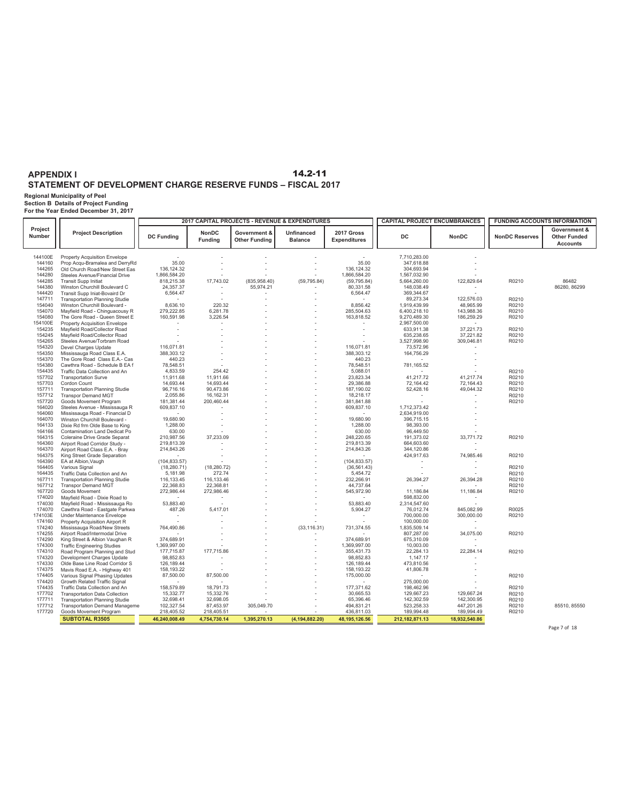# **Regional Municipality of Peel Section B Details of Project Funding For the Year Ended December 31, 2017**

|                          |                                                                  |                          |                                | 2017 CAPITAL PROJECTS - REVENUE & EXPENDITURES |                                     |                                   | <b>CAPITAL PROJECT ENCUMBRANCES</b> |                         |                       | <b>FUNDING ACCOUNTS INFORMATION</b>                    |
|--------------------------|------------------------------------------------------------------|--------------------------|--------------------------------|------------------------------------------------|-------------------------------------|-----------------------------------|-------------------------------------|-------------------------|-----------------------|--------------------------------------------------------|
| Project<br><b>Number</b> | <b>Project Description</b>                                       | <b>DC Funding</b>        | <b>NonDC</b><br><b>Fundina</b> | Government &<br><b>Other Funding</b>           | <b>Unfinanced</b><br><b>Balance</b> | 2017 Gross<br><b>Expenditures</b> | <b>DC</b>                           | <b>NonDC</b>            | <b>NonDC Reserves</b> | Government &<br><b>Other Funded</b><br><b>Accounts</b> |
| 144100E                  | <b>Property Acquisition Envelope</b>                             |                          |                                |                                                |                                     |                                   | 7,710,283.00                        |                         |                       |                                                        |
| 144160                   | Prop Acqu-Bramalea and DerryRd                                   | 35.00                    |                                |                                                |                                     | 35.00                             | 347,618.88                          |                         |                       |                                                        |
| 144265                   | Old Church Road/New Street Eas                                   | 136, 124.32              |                                |                                                |                                     | 136, 124. 32                      | 304,693.94                          |                         |                       |                                                        |
| 144280                   | Steeles Avenue/Financial Drive                                   | 1,866,584.20             |                                |                                                |                                     | 1,866,584.20                      | 1,567,032.90                        |                         |                       |                                                        |
| 144285                   | <b>Transit Supp Initiat</b>                                      | 818,215.38               | 17,743.02                      | (835, 958.40)                                  | (59, 795.84)                        | (59, 795.84)                      | 5,664,260.00                        | 122,829.64              | R0210                 | 86482                                                  |
| 144380                   | Winston Churchill Boulevard C                                    | 24,357.37                |                                | 55,974.21                                      |                                     | 80,331.58                         | 148,038.49                          |                         |                       | 86280, 86299                                           |
| 144420                   | Transit Supp Iniat-Bovaird Dr                                    | 6,564.47                 |                                |                                                |                                     | 6,564.47                          | 369,344.67                          |                         |                       |                                                        |
| 147711                   | <b>Transportation Planning Studie</b>                            |                          |                                |                                                |                                     |                                   | 89.273.34                           | 122.576.03              | R0210                 |                                                        |
| 154040<br>154070         | Winston Churchill Boulevard -                                    | 8,636.10<br>279,222.85   | 220.32<br>6,281.78             |                                                |                                     | 8,856.42<br>285,504.63            | 1,919,439.99<br>6,400,218.10        | 48,965.99<br>143,988.36 | R0210                 |                                                        |
| 154080                   | Mayfield Road - Chinguacousy R<br>The Gore Road - Queen Street E | 160,591.98               | 3,226.54                       |                                                |                                     | 163,818.52                        | 9,270,489.30                        | 186,259.29              | R0210<br>R0210        |                                                        |
| 154100E                  | <b>Property Acquisition Envelope</b>                             |                          |                                |                                                |                                     |                                   | 2,967,500.00                        |                         |                       |                                                        |
| 154235                   | Mayfield Road/Collector Road                                     |                          |                                |                                                |                                     | $\sim$                            | 633,911.38                          | 37,221.73               | R0210                 |                                                        |
| 154245                   | Mayfield Road/Collector Road                                     |                          |                                |                                                |                                     | $\sim$                            | 635,238.65                          | 37,221.82               | R0210                 |                                                        |
| 154265                   | Steeles Avenue/Torbram Road                                      |                          |                                |                                                |                                     |                                   | 3,527,998.90                        | 309,046.81              | R0210                 |                                                        |
| 154320                   | Devel Charges Update                                             | 116.071.81               |                                |                                                |                                     | 116.071.81                        | 73,572.96                           |                         |                       |                                                        |
| 154350                   | Mississauga Road Class E.A.                                      | 388,303.12               |                                |                                                |                                     | 388,303.12                        | 164,756.29                          |                         |                       |                                                        |
| 154370                   | The Gore Road Class E.A.- Cas                                    | 440.23                   |                                |                                                |                                     | 440.23                            |                                     |                         |                       |                                                        |
| 154380                   | Cawthra Road - Schedule B EA f                                   | 78,548.51                |                                |                                                |                                     | 78,548.51                         | 781,165.52                          |                         |                       |                                                        |
| 154435                   | Traffic Data Collection and An                                   | 4,833.59                 | 254.42                         |                                                |                                     | 5,088.01                          | $\sim$                              |                         | R0210                 |                                                        |
| 157702                   | <b>Transportation Surve</b>                                      | 11,911.68                | 11,911.66                      |                                                |                                     | 23,823.34                         | 41,217.72                           | 41,217.74               | R0210                 |                                                        |
| 157703                   | Cordon Count                                                     | 14,693.44                | 14,693.44                      |                                                |                                     | 29,386.88                         | 72,164.42                           | 72,164.43               | R0210                 |                                                        |
| 157711                   | <b>Transportation Planning Studie</b>                            | 96,716.16                | 90,473.86                      |                                                |                                     | 187,190.02                        | 52,428.16                           | 49,044.32               | R0210                 |                                                        |
| 157712<br>157720         | <b>Transpor Demand MGT</b>                                       | 2,055.86                 | 16.162.31<br>200,460.44        |                                                |                                     | 18,218.17                         |                                     |                         | R0210                 |                                                        |
| 164020                   | Goods Movement Program<br>Steeles Avenue - Mississauga R         | 181,381.44<br>609,837.10 |                                |                                                |                                     | 381,841.88<br>609,837.10          | 1,712,373.42                        |                         | R0210                 |                                                        |
| 164060                   | Mississauga Road - Financial D                                   |                          |                                |                                                |                                     |                                   | 2,634,919.00                        |                         |                       |                                                        |
| 164070                   | Winston Churchill Boulevard -                                    | 19,680.90                |                                |                                                |                                     | 19,680.90                         | 396,715.15                          |                         |                       |                                                        |
| 164133                   | Dixie Rd frm Olde Base to King                                   | 1,288.00                 |                                |                                                |                                     | 1,288.00                          | 98,393.00                           |                         |                       |                                                        |
| 164166                   | Contamination Land Dedicat Po                                    | 630.00                   |                                |                                                |                                     | 630.00                            | 96,449.50                           |                         |                       |                                                        |
| 164315                   | Coleraine Drive Grade Separat                                    | 210,987.56               | 37,233.09                      |                                                |                                     | 248.220.65                        | 191,373.02                          | 33,771.72               | R0210                 |                                                        |
| 164360                   | Airport Road Corridor Study -                                    | 219,813.39               |                                |                                                |                                     | 219,813.39                        | 664,603.60                          |                         |                       |                                                        |
| 164370                   | Airport Road Class E.A. - Bray                                   | 214,843.26               |                                |                                                |                                     | 214,843.26                        | 344,120.86                          |                         |                       |                                                        |
| 164375                   | King Street Grade Separation                                     |                          |                                |                                                |                                     |                                   | 424,917.63                          | 74,985.46               | R0210                 |                                                        |
| 164390                   | EA at Albion, Vaugh                                              | (104, 833.57)            |                                |                                                |                                     | (104, 833.57)                     |                                     |                         |                       |                                                        |
| 164405                   | Various Signal                                                   | (18, 280.71)             | (18, 280.72)                   |                                                |                                     | (36, 561.43)                      |                                     |                         | R0210                 |                                                        |
| 164435                   | Traffic Data Collection and An                                   | 5,181.98                 | 272.74                         |                                                |                                     | 5,454.72                          |                                     |                         | R0210                 |                                                        |
| 167711                   | <b>Transportation Planning Studie</b>                            | 116,133.45               | 116,133.46                     |                                                |                                     | 232,266.91                        | 26,394.27                           | 26,394.28               | R0210                 |                                                        |
| 167712<br>167720         | <b>Transpor Demand MGT</b>                                       | 22.368.83<br>272,986.44  | 22.368.81<br>272,986.46        |                                                |                                     | 44.737.64<br>545,972.90           | 11,186.84                           | 11,186.84               | R0210                 |                                                        |
| 174020                   | Goods Movement<br>Mayfield Road - Dixie Road to                  |                          |                                |                                                |                                     |                                   | 598,832.00                          |                         | R0210                 |                                                        |
| 174030                   | Mayfield Road - Mississauga Ro                                   | 53,883.40                |                                |                                                |                                     | 53,883.40                         | 2,314,547.60                        |                         |                       |                                                        |
| 174070                   | Cawthra Road - Eastgate Parkwa                                   | 487.26                   | 5,417.01                       |                                                |                                     | 5,904.27                          | 76,012.74                           | 845,082.99              | R0025                 |                                                        |
| 174103E                  | Under Maintenance Envelope                                       |                          |                                |                                                |                                     |                                   | 700,000.00                          | 300,000.00              | R0210                 |                                                        |
| 174160                   | Property Acquisition Airport R                                   |                          |                                |                                                |                                     |                                   | 100,000.00                          | $\sim$                  |                       |                                                        |
| 174240                   | Mississauga Road/New Streets                                     | 764,490.86               |                                |                                                | (33, 116.31)                        | 731,374.55                        | 1,835,509.14                        |                         |                       |                                                        |
| 174255                   | Airport Road/Intermodal Drive                                    |                          |                                |                                                |                                     |                                   | 807,287.00                          | 34,075.00               | R0210                 |                                                        |
| 174290                   | King Street & Albion Vaughan R                                   | 374,689.91               |                                |                                                |                                     | 374,689.91                        | 675,310.09                          |                         |                       |                                                        |
| 174300                   | <b>Traffic Engineering Studies</b>                               | 1,369,997.00             |                                |                                                |                                     | 1,369,997.00                      | 10,003.00                           |                         |                       |                                                        |
| 174310                   | Road Program Planning and Stud                                   | 177,715.87               | 177,715.86                     |                                                |                                     | 355,431.73                        | 22,284.13                           | 22,284.14               | R0210                 |                                                        |
| 174320                   | Development Charges Update                                       | 98,852.83                |                                |                                                |                                     | 98.852.83                         | 1,147.17                            |                         |                       |                                                        |
| 174330<br>174375         | Olde Base Line Road Corridor S                                   | 126,189.44<br>158,193.22 |                                |                                                |                                     | 126,189.44<br>158,193.22          | 473,810.56                          |                         |                       |                                                        |
| 174405                   | Mavis Road E.A. - Highway 401<br>Various Signal Phasing Updates  | 87,500.00                | 87,500.00                      |                                                |                                     | 175,000.00                        | 41,806.78                           |                         | R0210                 |                                                        |
| 174420                   | Growth Related Traffic Signal                                    |                          |                                |                                                |                                     |                                   | 275,000.00                          |                         |                       |                                                        |
| 174435                   | Traffic Data Collection and An                                   | 158,579.89               | 18,791.73                      |                                                |                                     | 177,371.62                        | 198,462.96                          |                         | R0210                 |                                                        |
| 177702                   | <b>Transportation Data Collection</b>                            | 15,332.77                | 15,332.76                      |                                                |                                     | 30,665.53                         | 129,667.23                          | 129,667.24              | R0210                 |                                                        |
| 177711                   | <b>Transportation Planning Studie</b>                            | 32,698.41                | 32,698.05                      |                                                |                                     | 65,396.46                         | 142,302.59                          | 142,300.95              | R0210                 |                                                        |
| 177712                   | <b>Transportation Demand Manageme</b>                            | 102,327.54               | 87,453.97                      | 305,049.70                                     |                                     | 494,831.21                        | 523,258.33                          | 447,201.26              | R0210                 | 85510, 85550                                           |
| 177720                   | Goods Movement Program                                           | 218,405.52               | 218,405.51                     |                                                |                                     | 436,811.03                        | 189,994.48                          | 189,994.49              | R0210                 |                                                        |
|                          | <b>SUBTOTAL R3505</b>                                            | 46.240.008.49            | 4,754,730.14                   | 1,395,270.13                                   | (4, 194, 882.20)                    | 48, 195, 126.56                   | 212, 182, 871. 13                   | 18,932,540.86           |                       |                                                        |

Page 7 of 18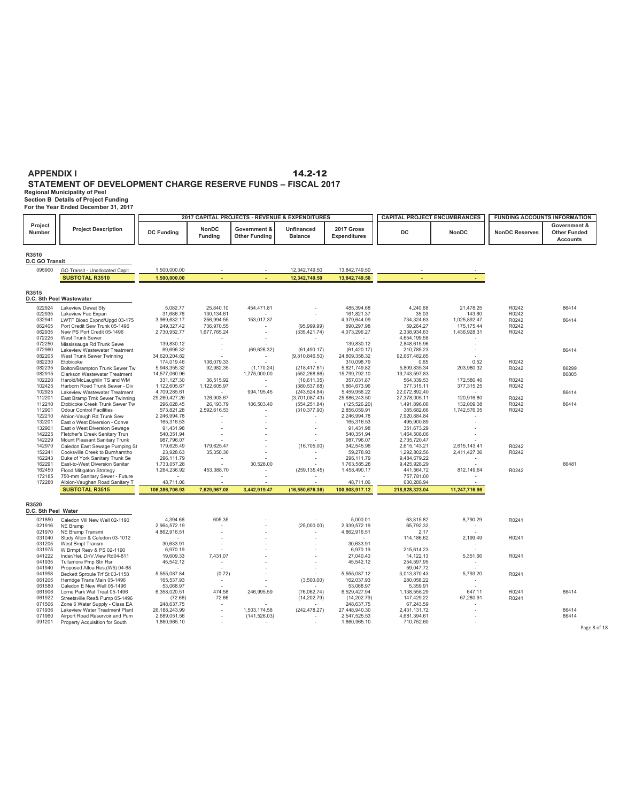**Regional Municipality of Peel Section B Details of Project Funding For the Year Ended December 31, 2017**

|                                |                                                                  |                             |                         |                                      | 2017 CAPITAL PROJECTS - REVENUE & EXPENDITURES |                                   | <b>CAPITAL PROJECT ENCUMBRANCES</b> |                          | <b>FUNDING ACCOUNTS INFORMATION</b> |                                                        |
|--------------------------------|------------------------------------------------------------------|-----------------------------|-------------------------|--------------------------------------|------------------------------------------------|-----------------------------------|-------------------------------------|--------------------------|-------------------------------------|--------------------------------------------------------|
| Project<br>Number              | <b>Project Description</b>                                       | <b>DC Funding</b>           | NonDC<br><b>Fundina</b> | Government &<br><b>Other Funding</b> | Unfinanced<br><b>Balance</b>                   | 2017 Gross<br><b>Expenditures</b> | DC.                                 | <b>NonDC</b>             | <b>NonDC Reserves</b>               | Government &<br><b>Other Funded</b><br><b>Accounts</b> |
| R3510<br><b>D.C GO Transit</b> |                                                                  |                             |                         |                                      |                                                |                                   |                                     |                          |                                     |                                                        |
| 095900                         | GO Transit - Unallocated Capit                                   | 1,500,000.00                |                         |                                      | 12,342,749.50                                  | 13,842,749.50                     |                                     |                          |                                     |                                                        |
|                                | <b>SUBTOTAL R3510</b>                                            | 1,500,000.00                |                         |                                      | 12,342,749.50                                  | 13,842,749.50                     |                                     |                          |                                     |                                                        |
| R3515                          |                                                                  |                             |                         |                                      |                                                |                                   |                                     |                          |                                     |                                                        |
|                                | D.C. Sth Peel Wastewater                                         |                             |                         |                                      |                                                |                                   |                                     |                          |                                     |                                                        |
| 022924                         | Lakeview Dewat Sty                                               | 5,082.77                    | 25,840.10               | 454,471.81                           |                                                | 485,394.68                        | 4,240.68                            | 21,478.25                | R0242                               | 86414                                                  |
| 022935                         | Lakeview Fac Expan                                               | 31,686.76                   | 130,134.61              |                                      |                                                | 161,821.37                        | 35.03                               | 143.60                   | R0242                               |                                                        |
| 032941                         | LWTF Bioso Expnd/Upad 03-175                                     | 3,969,632.17                | 256,994.55              | 153,017.37                           |                                                | 4,379,644.09                      | 734,324.63                          | 1,025,892.47             | R0242                               | 86414                                                  |
| 062405                         | Port Credit Sew Trunk 05-1496                                    | 249,327.42                  | 736.970.55              |                                      | (95.999.99)                                    | 890,297.98                        | 59.264.27                           | 175.175.44               | R0242                               |                                                        |
| 062935<br>072225               | New PS Port Credit 05-1496<br>West Trunk Sewer                   | 2,730,952.77                | 1,677,765.24            |                                      | (335, 421.74)                                  | 4,073,296.27                      | 2,338,934.63                        | 1,436,928.31             | R0242                               |                                                        |
| 072250                         | Mississauga Rd Trunk Sewe                                        | 139,830.12                  |                         |                                      |                                                | 139,830.12                        | 4,654,199.58<br>2,848,615.96        |                          |                                     |                                                        |
| 072960                         | Lakeview Wastewater Treatment                                    | 69,696.32                   |                         | (69.626.32)                          | (61.490.17)                                    | (61, 420.17)                      | 210,785.23                          |                          |                                     | 86414                                                  |
| 082205                         | West Trunk Sewer Twinning                                        | 34,620,204.82               |                         | $\overline{\phantom{a}}$             | (9,810,846.50)                                 | 24,809,358.32                     | 92,667,482.85                       |                          |                                     |                                                        |
| 082230                         | Etobicoke                                                        | 174,019.46                  | 136,079.33              |                                      |                                                | 310,098.79                        | 0.65                                | 0.52                     | R0242                               |                                                        |
| 082235                         | Bolton/Brampton Trunk Sewer Tw                                   | 5,948,355.32                | 92,982.35               | (1, 170.24)                          | (218, 417.61)                                  | 5,821,749.82                      | 5,809,835.34                        | 203,980.32               | R0242                               | 86299                                                  |
| 082915                         | Clarkson Wastewater Treatment                                    | 14,577,060.96               |                         | 1,775,000.00                         | (552, 268.86)                                  | 15,799,792.10                     | 19,743,597.83                       |                          |                                     | 86805                                                  |
| 102220                         | Harold/McLaughlin TS and WM                                      | 331,127.30                  | 36,515.92               |                                      | (10,611.35)                                    | 357,031.87                        | 564,339.53                          | 172,580.46               | R0242                               |                                                        |
| 102425                         | Harborn Road Trunk Sewer - Div                                   | 1,122,605.67                | 1,122,605.97            |                                      | (380, 537.68)                                  | 1,864,673.96                      | 377,315.11                          | 377,315.25               | R0242                               |                                                        |
| 102925                         | Lakeview Wastewater Treatment                                    | 4,709,285.61                | $\sim$                  | 994,195.45                           | (243, 524.84)                                  | 5,459,956.22                      | 22,072,892.40                       |                          |                                     | 86414                                                  |
| 112201<br>112210               | East Bramp Trnk Sewer Twinning<br>Etobicoke Creek Trunk Sewer Tw | 29,260,427.26<br>296,028.45 | 126,903.67<br>26,193.79 | 106,503.40                           | (3,701,087.43)<br>(554, 251.84)                | 25,686,243.50<br>(125, 526.20)    | 27,378,005.11<br>1,491,896.06       | 120,916.80<br>132,009.08 | R0242<br>R0242                      | 86414                                                  |
| 112901                         | <b>Odour Control Facilities</b>                                  | 573,821.28                  | 2,592,616.53            |                                      | (310, 377.90)                                  | 2,856,059.91                      | 385,682.66                          | 1,742,576.05             | R0242                               |                                                        |
| 122210                         | Albion-Vaugh Rd Trunk Sew                                        | 2,246,994.78                |                         |                                      |                                                | 2,246,994.78                      | 7.920.884.84                        |                          |                                     |                                                        |
| 132201                         | East o West Diversion - Conve                                    | 165,316.53                  |                         |                                      |                                                | 165,316.53                        | 495,900.89                          |                          |                                     |                                                        |
| 132901                         | East o West Diversion Sewage                                     | 91,431.98                   |                         |                                      |                                                | 91,431.98                         | 351,673.29                          |                          |                                     |                                                        |
| 142225                         | Fletcher's Creek Sanitary Trun                                   | 540,351.94                  |                         |                                      |                                                | 540,351.94                        | 1,464,508.06                        |                          |                                     |                                                        |
| 142229                         | Mount Pleasant Sanitary Trunk                                    | 987,796.07                  |                         |                                      |                                                | 987,796.07                        | 2,735,720.47                        |                          |                                     |                                                        |
| 142970                         | Caledon East Sewage Pumping St                                   | 179,625.49                  | 179,625.47              |                                      | (16,705.00)                                    | 342,545.96                        | 2,615,143.21                        | 2,615,143.41             | R0242                               |                                                        |
| 152241                         | Cooksville Creek to Burnhamtho                                   | 23,928.63                   | 35,350.30               |                                      |                                                | 59,278.93                         | 1,292,802.56                        | 2,411,427.36             | R0242                               |                                                        |
| 162243<br>162291               | Duke of York Sanitary Trunk Se<br>East-to-West Diversion Sanitar | 296,111.79<br>1,733,057.28  |                         | 30.528.00                            |                                                | 296,111.79<br>1,763,585.28        | 9,484,679.22<br>9,425,928.29        |                          |                                     | 86481                                                  |
| 162450                         | Flood Mitigaton Strategy                                         | 1,264,236.92                | 453,388.70              |                                      | (259, 135.45)                                  | 1,458,490.17                      | 441,564.72                          | 812,149.64               | R0242                               |                                                        |
| 172185                         | 750-mm Sanitary Sewer - Future                                   |                             |                         |                                      |                                                |                                   | 757,781.00                          |                          |                                     |                                                        |
| 172280                         | Albion-Vaughan Road Sanitary T                                   | 48.711.06                   |                         |                                      |                                                | 48.711.06                         | 600.288.94                          |                          |                                     |                                                        |
|                                | <b>SUBTOTAL R3515</b>                                            | 106,386,706.93              | 7,629,967.08            | 3,442,919.47                         | (16, 550, 676.36)                              | 100,908,917.12                    | 218,928,323.04                      | 11,247,716.96            |                                     |                                                        |
|                                |                                                                  |                             |                         |                                      |                                                |                                   |                                     |                          |                                     |                                                        |
| R3520<br>D.C. Sth Peel Water   |                                                                  |                             |                         |                                      |                                                |                                   |                                     |                          |                                     |                                                        |
|                                | Caledon Vill New Well 02-1190                                    |                             |                         |                                      |                                                |                                   |                                     |                          | R0241                               |                                                        |
| 021850<br>021916               | NE Bramp                                                         | 4,394.66<br>2,964,572.19    | 605.35                  |                                      | (25,000.00)                                    | 5,000.01<br>2,939,572.19          | 63,815.82<br>65,792.32              | 8,790.29                 |                                     |                                                        |
| 021970                         | NE Bramp Transmi                                                 | 4,862,916.51                |                         |                                      |                                                | 4,862,916.51                      | 2.17                                |                          |                                     |                                                        |
| 031040                         | Study Alton & Caledon 03-1012                                    |                             |                         |                                      |                                                |                                   | 114,186.62                          | 2,199.49                 | R0241                               |                                                        |
| 031205                         | West Bmpt Transm                                                 | 30,633.91                   |                         |                                      |                                                | 30,633.91                         |                                     |                          |                                     |                                                        |
| 031975                         | W Brmpt Resv & PS 02-1190                                        | 6,970.19                    |                         |                                      |                                                | 6,970.19                          | 215,614.23                          |                          |                                     |                                                        |
| 041222                         | Inder/Hei. Dr/V.View Rd04-811                                    | 19,609.33                   | 7,431.07                |                                      |                                                | 27,040.40                         | 14,122.13                           | 5,351.66                 | R0241                               |                                                        |
| 041935                         | Tullamore Pmp Stn Rsr                                            | 45,542.12                   |                         |                                      |                                                | 45,542.12                         | 254,597.95                          |                          |                                     |                                                        |
| 041940                         | Proposed Alloa Res.(W5) 04-68                                    |                             |                         |                                      |                                                |                                   | 59,047.72                           |                          |                                     |                                                        |
| 041998<br>061205               | Beckett Sproule Trf St 03-1158<br>Herridge Trans Main 05-1496    | 5,555,087.84<br>165,537.93  | (0.72)                  |                                      | (3,500.00)                                     | 5,555,087.12<br>162,037.93        | 3,013,870.43<br>280,058.22          | 5,793.20                 | R0241                               |                                                        |
| 061580                         | Caledon E New Well 05-1496                                       | 53,068.97                   |                         |                                      |                                                | 53,068.97                         | 5,359.91                            |                          |                                     |                                                        |
| 061906                         | Lorne Park Wat Treat 05-1496                                     | 6,358,020.51                | 474.58                  | 246,995.59                           | (76,062.74)                                    | 6,529,427.94                      | 1,138,558.29                        | 647.11                   | R0241                               | 86414                                                  |
| 061922                         | Streetsville Res& Pump 05-1496                                   | (72.66)                     | 72.66                   |                                      | (14, 202.79)                                   | (14, 202.79)                      | 147,429.22                          | 67,280.91                | R0241                               |                                                        |
| 071506                         | Zone 6 Water Supply - Class EA                                   | 248,637.75                  |                         |                                      |                                                | 248,637.75                        | 67,243.59                           |                          |                                     |                                                        |
| 071936                         | Lakeview Water Treatment Plant                                   | 26, 188, 243. 99            | $\sim$                  | 1,503,174.58                         | (242, 478.27)                                  | 27,448,940.30                     | 2,431,131.72                        |                          |                                     | 86414                                                  |
| 071960                         | Airport Road Reservoir and Pum                                   | 2,689,051.56                |                         | (141, 526.03)                        |                                                | 2,547,525.53                      | 4,681,394.61                        |                          |                                     | 86414                                                  |
| 091201                         | Property Acquisition for South                                   | 1,860,965.10                |                         |                                      |                                                | 1,860,965.10                      | 710,752.60                          |                          |                                     |                                                        |
|                                |                                                                  |                             |                         |                                      |                                                |                                   |                                     |                          |                                     | Page 8 of 18                                           |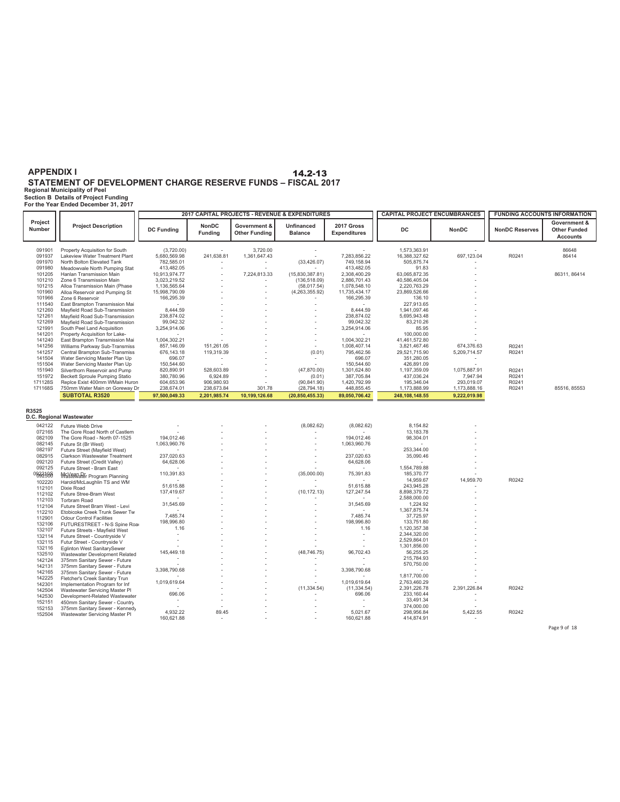#### **Regional Municipality of Peel APPENDIX I STATEMENT OF DEVELOPMENT CHARGE RESERVE FUNDS – FISCAL 2017** 14.2-13

**Section B Details of Project Funding For the Year Ended December 31, 2017**

DC NonDC NonDC Reserves  **Government & Other Funded Accounts Project Project Description** 2017 CAPITAL PROJECTS - REVENUE & EXPENDITURES **CAPITAL PROJECT ENCUMBRANCES** FUNDING ACCOUNTS INFORMATION **DC Funding NonDC Funding Government & Other Funding Unfinanced Balance 2017 Gross Expenditures** 091901 Property Acquisition for South 5.020.00 5.720.00 3.720.00 3.720.00 3.720.00 1.573,363.91 091937 Lakeview Water Treatment Plant 5.680,589.92 697,123.04 56648<br>09197 North Bolton Elevated Tank 782,585.98.91 1.581,647.4 091937 Lakeview Water Treatment Plant 5,680,569.98 241,638.81 1,361,647.43 7,283,856.22 16,388,327.62 697,123.04 R0241 86414<br>091970 North Bolton Elevated Tank 782,585.01 091980 Meadowvale North Pumping Stat  $10,482.05$  91.83  $413,482.05$  91.83  $413,482.05$  91.83<br>101205 Hanlan Transmission Main 10,913,974.77 1 7,224,813.33 (15,830,387.81) 2,308,400.29 63,065,872.35 101205 Hanlan Transmission Main 10,913,974.77 - 7,224,813.33 (15,830,387.81) 2,308,400.29 63,065,872.35 86311, 86414<br>101210 Zone 6 Transmission Main 3,023,219.52 101215 Alloa Transmission Main (Phase - - (58,017.54) 1,078,548.10 2,220,763.29 - 1,136,565.64 101960 Alloa Reservoir and Pumping St - - 15,998,790.09 101960 - 11,735,434.17 11,735,434.17 23,869,526.66 - 1<br>101966 Zone 6 Reservoir 166,295.39 106.295.39 106.295.39 106.10 101966 Zone 6 Reservoir - - - 166,295.39 136.10 - 166,295.39 111540 East Brampton Transmission Mai - - - - - 227,913.65 - 121260 Mayfield Road Sub-Transmission - - - 8,444.59 1,941,097.46 - 8,444.59 121261 Mayfield Road Sub-Transmission - - - 238,874.02 5,695,943.48 - 238,874.02 121269 Mayfield Road Sub-Transmission 99,042.32<br>121991 - South Peel Land Acquisition 3.254,914.06 121991 South Peel Land Acquisition - - - 3,254,914.06 85.95 - 3,254,914.06 141201 Property Acquisition for Lake- - - - - - 100,000.00 - 141240 East Brampton Transmission Mai - - - 1,004,302.21 41,461,572.80 - 1,004,302.21 141256 Williams Parkway Sub-Transmiss 151,261.05 - - 1,008,407.14 3,821,467.46 6 857,146.09 74,376.63 R0241 141257 Central Brampton Sub-Transmiss 119,319.39 - (0.01) 795,462.56 29,521,715. 676,143.18 90 5,209,714.57 R0241 141504 Water Servicing Master Plan Up 696.07 - - - 696.07 351,280.05 - 151504 Water Servicing Master Plan Up - - - 150,544.60 426,891.09 - 150,544.60 151940 Silverthorn Reservoir and Pump 52,080.91 528,603.89 - (47,870.00) 1,301,624.80 1,197,359.09 1,075,887.91 R0241<br>151972 Becket Sproule Pumping Statio 380,780.96 6,924.89 - (5,024,700.91) 1,801,705,844 437,03624 7,947, 151972 Beckett Sproule Pumping Statio 6,924.89 - (0.01) 387,705.84 437,036.24 7,9 380,780.96 47.94 R0241 171128S Replce Exist 400mm WMain Huron 906,980.93 - (90,841.90) 1,420,792.99 195, 604,653.96 346.04 293,019.07 R0241 171168S 750mm Water Main on Goreway Dr 238,674.01 238,673.84 301.78 (28,794.18) 448,855.45 1,173,888.99 1,173,888.16 R0241 85516, 85553<br>**SUBTOTAL R3520 97,500,049.33 2,201,985.74 10,199,126.68 (20,850,455.33) 89,050,706.42 SUBTOTAL R3520 2,201,985.74 97,500,049.33 10,199,126.68 (20,850,455.33) 89,050,706.42 248,108,148.55 9,222,019.98 R3525** 042122 Future Webb Drive - - - - - - - - - - - - - - - (8,082.62) (8,082.62) 8,154.82 - - - - - - - - - - - - -072165 The Gore Road North of Castlem - - - - - 13,183.78 - 082109 The Gore Road - North 07-1525 194,012.46 195,012.46 Core Road - North 07-1525 194,012.46 2012.46 194,012.46 194,012.46 082145 Future St (Br West) - - - 1,063,960.76 - - 1,063,960.76 082197 Future Street (Mayfield West) - - - - - 253,344.00 - 082915 Clarkson Wastewater Treatment - - - 237,020.63 35,090.46 - 237,020.63 092120 Future Street (Credit Valley) 64,628.06 - - - 64,628.06 - - 092125 Future Street - Bram East - - - - - 1,554,789.88 - 092210S McVean Dr - - (35,000.00) 75,391.83 185,370.77 - 110,391.83 <sup>092500</sup> Wastewater Program Planning - - - - - 14,959.67 14,959.70 R0242 <sup>102220</sup> Harold/McLaughlin TS and WM 51,615.88 - - - 51,615.88 243,945.28 - <sup>112101</sup> Dixie Road - - (10,172.13) 127,247.54 8,898,379.72 - 137,419.67 <sup>112102</sup> Future Stree-Bram West - - - - - 2,588,000.00 - <sup>112103</sup> Torbram Road 31,545.69 - - - 31,545.69 1,224.92 - <sup>112104</sup> Future Street Bram West - Levi **D.C. Regional Wastewater**

- 1,367,875.74 - 112210 Etobicoke Creek Trunk Sewer Tw<br>112901 - 2010 - 7,485.74 - 7,485.74 - 7,485.74 - 7,485.74 - 112901 - 7,485.74 - 112901 - 112901 - 112901 - 112<br>193 - 193 - 193 - 194 - 195 - 196 - 197 - 198 - 198 - 1

1.16 - - - 1.16 1,120,357.38 - <sup>132107</sup> Future Streets - Mayfield West

 - - (48,746.75) 96,702.43 56,255.25 - 145,449.18 <sup>132510</sup> Wastewater Development Related - - - - - 215,784.93 - <sup>142124</sup> 375mm Sanitary Sewer - Future

- - - - - 1,817,700.00 - <sup>142225</sup> Fletcher's Creek Sanitary Trun

- - - - - 33,491.34 - <sup>152151</sup> 450mm Sanitary Sewer - Country

- - - 7,485.74 37,725.97 - 7,485.74 <sup>112901</sup> Odour Control Facilities - - - 198,996.80 133,751.80 - 198,996.80 <sup>132106</sup> FUTURESTREET - N-S Spine Road

- - - - - 2,344,320.00 - <sup>132114</sup> Future Street - Countryside V - - - - - 2,529,864.01 - <sup>132115</sup> Futur Street - Countryside V - - - - - 1,301,856.00 - <sup>132116</sup> Eglinton West SanitarySewer

- - - - - 570,750.00 - <sup>142131</sup> 375mm Sanitary Sewer - Future - - - 3,398,790.68 - - 3,398,790.68 <sup>142165</sup> 375mm Sanitary Sewer - Future

142301 Implementation Program for Inf 1,019,619.64<br>142304 Wastewater Servicing Master PI (1,334.54) (11,334.54) (11,334.54) 2,391,226.78 2,391,226.78 2,391,226.84<br>142530 Development-Related Wastewater 696.06

- - - - - 374,000.00 - <sup>152153</sup> 375mm Sanitary Sewer - Kennedy 89.45 - - 5,021.67 298,956.84 5,422.55 4,932.22 R0242 <sup>152504</sup> Wastewater Servicing Master Pl

- - - 160,621.88 414,874.91 - 160,621.88

Page 9 of 18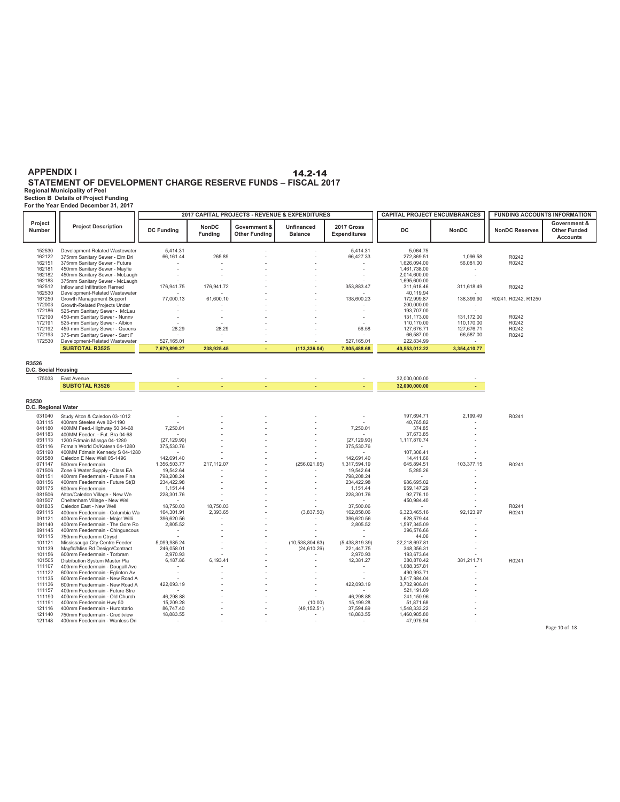**Regional Municipality of Peel Section B Details of Project Funding For the Year Ended December 31, 2017**

|                                      |                                                                                                                                    |                                                   |                                |                                      | 2017 CAPITAL PROJECTS - REVENUE & EXPENDITURES |                                                   | <b>CAPITAL PROJECT ENCUMBRANCES</b>                        |                                        | <b>FUNDING ACCOUNTS INFORMATION</b> |                                                        |
|--------------------------------------|------------------------------------------------------------------------------------------------------------------------------------|---------------------------------------------------|--------------------------------|--------------------------------------|------------------------------------------------|---------------------------------------------------|------------------------------------------------------------|----------------------------------------|-------------------------------------|--------------------------------------------------------|
| Project<br>Number                    | <b>Project Description</b>                                                                                                         | <b>DC Funding</b>                                 | <b>NonDC</b><br><b>Funding</b> | Government &<br><b>Other Funding</b> | <b>Unfinanced</b><br><b>Balance</b>            | 2017 Gross<br><b>Expenditures</b>                 | DC                                                         | <b>NonDC</b>                           | <b>NonDC Reserves</b>               | Government &<br><b>Other Funded</b><br><b>Accounts</b> |
| 152530<br>162122<br>162151<br>162181 | Development-Related Wastewater<br>375mm Sanitary Sewer - Elm Dri<br>375mm Sanitary Sewer - Future<br>450mm Sanitary Sewer - Mayfie | 5.414.31<br>66,161.44                             | 265.89                         |                                      |                                                | 5.414.31<br>66,427.33                             | 5,064.75<br>272,869.51<br>1,626,094.00<br>1,461,738.00     | 1,096.58<br>56,081.00                  | R0242<br>R0242                      |                                                        |
| 162182<br>162183<br>162512           | 450mm Sanitary Sewer - McLaugh<br>375mm Sanitary Sewer - McLaugh<br>Inflow and Infiltration Remed                                  | 176,941.75                                        | 176,941.72                     |                                      |                                                | 353,883.47                                        | 2,014,600.00<br>1,695,600.00<br>311,618.46                 | 311,618.49                             | R0242                               |                                                        |
| 162530<br>167250<br>172003           | Development-Related Wastewater<br>Growth Management Support<br>Growth-Related Projects Under                                       | 77,000.13                                         | 61,600.10                      |                                      |                                                | 138,600.23                                        | 40,119.94<br>172,999.87<br>200,000.00                      | 138,399.90<br>$\sim$                   | R0241, R0242, R1250                 |                                                        |
| 172186<br>172190<br>172191<br>172192 | 525-mm Sanitary Sewer - McLau<br>450-mm Sanitary Sewer - Nunnv<br>525-mm Sanitary Sewer - Albion<br>450-mm Sanitary Sewer - Queens | з.<br>28.29                                       | 28.29                          |                                      |                                                | 56.58                                             | 193,707.00<br>131,173.00<br>110,170.00<br>127,676.71       | 131,172.00<br>110,170.00<br>127,676.71 | R0242<br>R0242<br>R0242             |                                                        |
| 172193<br>172530                     | 375-mm Sanitary Sewer - Sant F<br>Development-Related Wastewater<br><b>SUBTOTAL R3525</b>                                          | 527,165.01<br>7,679,899.27                        | 238,925.45                     |                                      | (113, 336.04)                                  | 527,165.01<br>7,805,488.68                        | 66,587.00<br>222,834.99<br>40,553,012.22                   | 66,587.00<br>3,354,410.77              | R0242                               |                                                        |
| R3526<br>D.C. Social Housing         |                                                                                                                                    |                                                   |                                |                                      |                                                |                                                   |                                                            |                                        |                                     |                                                        |
| 175033                               | East Avenue<br><b>SUBTOTAL R3526</b>                                                                                               |                                                   |                                |                                      |                                                |                                                   | 32,000,000.00<br>32,000,000.00                             |                                        |                                     |                                                        |
| R3530<br>D.C. Regional Water         |                                                                                                                                    |                                                   |                                |                                      |                                                |                                                   |                                                            |                                        |                                     |                                                        |
| 031040<br>031115<br>041180           | Study Alton & Caledon 03-1012<br>400mm Steeles Ave 02-1190<br>400MM Feed.-Highway 50 04-68                                         | 7,250.01                                          |                                |                                      |                                                | 7,250.01                                          | 197,694.71<br>40,765.82<br>374.85                          | 2,199.49                               | R0241                               |                                                        |
| 041183<br>051113<br>051116           | 400MM Feeder. - Fut. Bra 04-68<br>1200 Fdmain Missga 04-1280<br>Fdmain World Dr/Katesn 04-1280                                     | (27, 129.90)<br>375,530.76                        |                                |                                      |                                                | (27, 129.90)<br>375,530.76                        | 37,673.85<br>1,117,870.74<br>$\overline{\phantom{a}}$      |                                        |                                     |                                                        |
| 051190<br>061580<br>071147           | 400MM Fdmain Kennedy S 04-1280<br>Caledon E New Well 05-1496<br>500mm Feedermain                                                   | 142,691.40<br>1,356,503.77                        | 217,112.07                     |                                      | (256, 021.65)                                  | 142,691.40<br>1,317,594.19                        | 107,306.41<br>14,411.66<br>645,894.51                      | 103,377.15                             | R0241                               |                                                        |
| 071506<br>081151<br>081156           | Zone 6 Water Supply - Class EA<br>400mm Feedermain - Future Fina<br>400mm Feedermain - Future St(B                                 | 19,542.64<br>798,208.24<br>234,422.98             |                                |                                      |                                                | 19,542.64<br>798,208.24<br>234,422.98             | 5,285.26<br>986,695.02                                     |                                        |                                     |                                                        |
| 081175<br>081506<br>081507           | 600mm Feedermain<br>Alton/Caledon Village - New We<br>Cheltenham Village - New Wel                                                 | 1,151.44<br>228,301.76<br>$\sim$                  |                                |                                      |                                                | 1,151.44<br>228,301.76                            | 959,147.29<br>92,776.10<br>450,984.40                      |                                        |                                     |                                                        |
| 081835<br>091115<br>091121<br>091140 | Caledon East - New Well<br>400mm Feedermain - Columbia Wa<br>400mm Feedermain - Major Willi<br>400mm Feedermain - The Gore Ro      | 18,750.03<br>164,301.91<br>396,620.56<br>2,805.52 | 18,750.03<br>2,393.65          |                                      | (3,837.50)                                     | 37,500.06<br>162,858.06<br>396,620.56<br>2,805.52 | 6,323,465.16<br>628,579.44<br>1,597,345.09                 | 92,123.97                              | R0241<br>R0241                      |                                                        |
| 091145<br>101115<br>101121           | 400mm Feedermain - Chinguacous<br>750mm Feedermn Ctrysd<br>Mississauga City Centre Feeder                                          | $\sim$<br>$\sim$<br>5,099,985.24                  |                                |                                      | (10,538,804.63)                                | $\sim$<br>(5,438,819.39)                          | 396,576.66<br>44.06<br>22,218,697.81                       |                                        |                                     |                                                        |
| 101139<br>101156<br>101505           | Mayfld/Miss Rd Design/Contract<br>600mm Feedermain - Torbram<br>Distribution System Master Pla                                     | 246,058.01<br>2,970.93<br>6,187.86                | 6,193.41                       |                                      | (24, 610.26)                                   | 221,447.75<br>2,970.93<br>12,381.27               | 348,356.31<br>193,673.64<br>380,870.42                     | 381,211.71                             | R0241                               |                                                        |
| 111107<br>111122<br>111135<br>111136 | 400mm Feedermain - Dougall Ave<br>600mm Feedermain - Eglinton Av<br>600mm Feedermain - New Road A<br>600mm Feedermain - New Road A | $\overline{\phantom{a}}$<br>$\sim$<br>422,093.19  |                                |                                      |                                                | $\sim$<br>÷,<br>422,093.19                        | 1,088,357.81<br>490,993.71<br>3,617,984.04<br>3,702,906.81 |                                        |                                     |                                                        |
| 111157<br>111190<br>111191           | 400mm Feedermain - Future Stre<br>400mm Feedermain - Old Church<br>400mm Feedermain Hwy 50                                         | ÷<br>46,298.88<br>15,209.28                       |                                |                                      | (10.00)                                        | 46,298.88<br>15,199.28                            | 521,191.09<br>241,150.96<br>51,871.68                      |                                        |                                     |                                                        |
| 121116<br>121140<br>121148           | 400mm Feedermain - Hurontario<br>750mm Feedermain - Creditview<br>400mm Feedermain - Wanless Dri                                   | 86,747.40<br>18,883.55                            |                                |                                      | (49, 152.51)                                   | 37,594.89<br>18,883.55                            | 1,548,333.22<br>1,460,985.80<br>47,975.94                  |                                        |                                     | Page 10 of 18                                          |
|                                      |                                                                                                                                    |                                                   |                                |                                      |                                                |                                                   |                                                            |                                        |                                     |                                                        |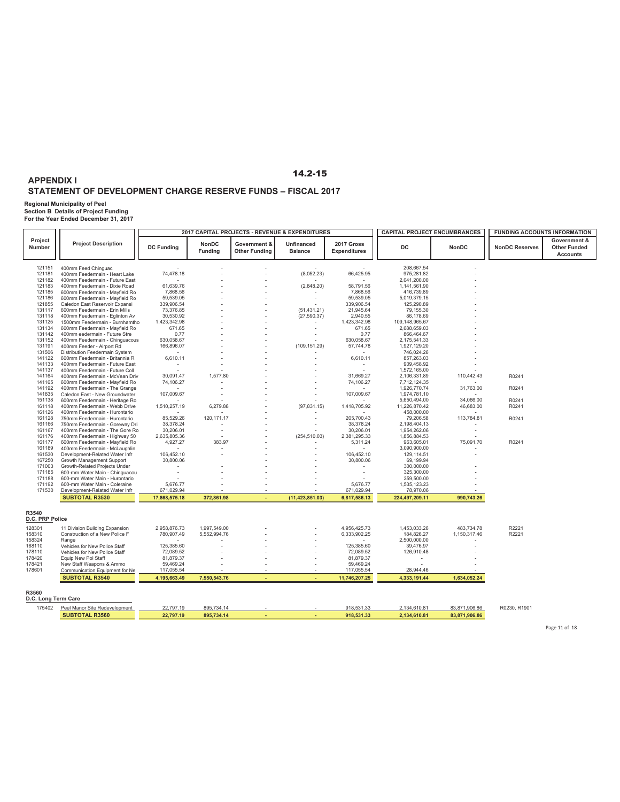### **STATEMENT OF DEVELOPMENT CHARGE RESERVE FUNDS – FISCAL 2017**

**APPENDIX I**

**Regional Municipality of Peel Section B Details of Project Funding For the Year Ended December 31, 2017**

|                              |                                                                  |                           |                                |                                      | 2017 CAPITAL PROJECTS - REVENUE & EXPENDITURES |                                   | <b>CAPITAL PROJECT ENCUMBRANCES</b> |               | <b>FUNDING ACCOUNTS INFORMATION</b> |                                                        |
|------------------------------|------------------------------------------------------------------|---------------------------|--------------------------------|--------------------------------------|------------------------------------------------|-----------------------------------|-------------------------------------|---------------|-------------------------------------|--------------------------------------------------------|
| Project<br>Number            | <b>Project Description</b>                                       | <b>DC Funding</b>         | <b>NonDC</b><br><b>Funding</b> | Government &<br><b>Other Funding</b> | Unfinanced<br><b>Balance</b>                   | 2017 Gross<br><b>Expenditures</b> | DC                                  | <b>NonDC</b>  | <b>NonDC Reserves</b>               | Government &<br><b>Other Funded</b><br><b>Accounts</b> |
| 121151                       | 400mm Feed Chinguac                                              |                           |                                |                                      |                                                |                                   | 208,667.54                          |               |                                     |                                                        |
| 121181                       | 400mm Feedermain - Heart Lake                                    | 74,478.18                 |                                |                                      | (8,052.23)                                     | 66,425.95                         | 975,281.82                          |               |                                     |                                                        |
| 121182                       | 400mm Feedermain - Future East                                   |                           |                                |                                      |                                                |                                   | 2,041,200.00                        |               |                                     |                                                        |
| 121183                       | 400mm Feedermain - Dixie Road                                    | 61,639.76                 |                                |                                      | (2,848.20)                                     | 58,791.56                         | 1,141,561.90                        |               |                                     |                                                        |
| 121185                       | 600mm Feedermain - Mayfield Ro                                   | 7,868.56                  |                                |                                      |                                                | 7,868.56                          | 416,739.89                          |               |                                     |                                                        |
| 121186                       | 600mm Feedermain - Mayfield Ro                                   | 59,539.05                 |                                |                                      |                                                | 59,539.05                         | 5,019,379.15                        |               |                                     |                                                        |
| 121855                       | Caledon East Reservoir Expansi                                   | 339.906.54                |                                |                                      |                                                | 339,906.54                        | 125,290.89                          |               |                                     |                                                        |
| 131117                       | 600mm Feedermain - Erin Mills                                    | 73,376.85                 |                                |                                      | (51, 431.21)                                   | 21,945.64                         | 79,155.30                           |               |                                     |                                                        |
| 131118                       | 400mm Feedermain - Eglinton Av                                   | 30,530.92                 |                                |                                      | (27, 590.37)                                   | 2,940.55                          | 86,178.69                           |               |                                     |                                                        |
| 131125<br>131134             | 1500mm Feedermain - Burnhamtho<br>600mm Feedermain - Mayfield Ro | 1,423,342.98<br>671.65    |                                |                                      |                                                | 1,423,342.98<br>671.65            | 109,148,965.67<br>2,688,659.03      |               |                                     |                                                        |
| 131142                       | 400mm eedermain - Future Stre                                    | 0.77                      |                                |                                      |                                                | 0.77                              | 866,464.67                          |               |                                     |                                                        |
| 131152                       | 400mm Feedermain - Chinguacous                                   | 630,058.67                |                                |                                      |                                                | 630,058.67                        | 2,175,541.33                        |               |                                     |                                                        |
| 131191                       | 400mm Feeder - Airport Rd                                        | 166,896.07                |                                |                                      | (109, 151.29)                                  | 57,744.78                         | 1,927,129.20                        |               |                                     |                                                        |
| 131506                       | Distribution Feedermain System                                   |                           |                                |                                      |                                                |                                   | 746,024.26                          |               |                                     |                                                        |
| 141122                       | 600mm Feedermain - Britannia R                                   | 6,610.11                  |                                |                                      |                                                | 6,610.11                          | 857,263.03                          |               |                                     |                                                        |
| 141133                       | 400mm Feedermain - Future East                                   | $\sim$                    |                                |                                      |                                                | $\sim$                            | 909,458.92                          |               |                                     |                                                        |
| 141137                       | 400mm Feedermain - Future Coll                                   |                           |                                |                                      |                                                |                                   | 1,572,165.00                        |               |                                     |                                                        |
| 141164                       | 400mm Feedermain - McVean Driv                                   | 30.091.47                 | 1,577.80                       |                                      |                                                | 31,669.27                         | 2,106,331.89                        | 110,442.43    | R0241                               |                                                        |
| 141165                       | 600mm Feedermain - Mayfield Ro                                   | 74,106.27                 |                                |                                      |                                                | 74,106.27                         | 7,712,124.35                        |               |                                     |                                                        |
| 141192                       | 400mm Feedermain - The Grange                                    |                           |                                |                                      |                                                |                                   | 1,926,770.74                        | 31,763.00     | R0241                               |                                                        |
| 141835                       | Caledon East - New Groundwater                                   | 107,009.67                |                                |                                      |                                                | 107,009.67                        | 1,974,781.10                        |               |                                     |                                                        |
| 151138                       | 600mm Feedermain - Heritage Ro                                   |                           |                                |                                      |                                                |                                   | 5,650,494.00                        | 34,066.00     | R0241                               |                                                        |
| 161118                       | 400mm Feedermain - Webb Drive                                    | 1,510,257.19              | 6,279.88                       |                                      | (97, 831.15)                                   | 1,418,705.92                      | 11,226,870.42                       | 46,683.00     | R0241                               |                                                        |
| 161126                       | 400mm Feedermain - Hurontario                                    |                           |                                |                                      |                                                |                                   | 458,000.00                          |               |                                     |                                                        |
| 161128                       | 750mm Feedermain - Hurontario                                    | 85,529.26                 | 120, 171.17                    |                                      |                                                | 205,700.43                        | 79,206.58                           | 113,784.81    | R0241                               |                                                        |
| 161166                       | 750mm Feedermain - Goreway Dri                                   | 38,378.24                 |                                |                                      |                                                | 38,378.24                         | 2,198,404.13                        |               |                                     |                                                        |
| 161167<br>161176             | 400mm Feedermain - The Gore Ro<br>400mm Feedermain - Highway 50  | 30,206.01<br>2,635,805.36 |                                |                                      | (254, 510.03)                                  | 30,206.01<br>2,381,295.33         | 1,954,262.06<br>1,856,884.53        |               |                                     |                                                        |
| 161177                       | 600mm Feedermain - Mayfield Ro                                   | 4,927.27                  | 383.97                         |                                      |                                                | 5,311.24                          | 963,605.01                          | 75,091.70     | R0241                               |                                                        |
| 161189                       | 400mm Feedermain - McLaughlin                                    |                           |                                |                                      |                                                |                                   | 3,090,900.00                        |               |                                     |                                                        |
| 161530                       | Development-Related Water Infr                                   | 106,452.10                |                                |                                      |                                                | 106,452.10                        | 129,114.51                          |               |                                     |                                                        |
| 167250                       | Growth Management Support                                        | 30,800.06                 |                                |                                      |                                                | 30,800.06                         | 69,199.94                           |               |                                     |                                                        |
| 171003                       | Growth-Related Projects Under                                    |                           |                                |                                      |                                                |                                   | 300,000.00                          |               |                                     |                                                        |
| 171185                       | 600-mm Water Main - Chinguacou                                   |                           |                                |                                      |                                                |                                   | 325,300.00                          |               |                                     |                                                        |
| 171188                       | 600-mm Water Main - Hurontario                                   |                           |                                |                                      |                                                |                                   | 359,500.00                          |               |                                     |                                                        |
| 171192                       | 600-mm Water Main - Coleraine                                    | 5,676.77                  |                                |                                      |                                                | 5,676.77                          | 1,535,123.23                        |               |                                     |                                                        |
| 171530                       | Development-Related Water Infr                                   | 671,029.94                |                                |                                      |                                                | 671,029.94                        | 78,970.06                           |               |                                     |                                                        |
|                              | <b>SUBTOTAL R3530</b>                                            | 17,868,575.18             | 372,861.98                     |                                      | (11, 423, 851.03)                              | 6,817,586.13                      | 224,497,209.11                      | 990,743.26    |                                     |                                                        |
| R3540<br>D.C. PRP Police     |                                                                  |                           |                                |                                      |                                                |                                   |                                     |               |                                     |                                                        |
| 128301                       | 11 Division Building Expansion                                   | 2,958,876.73              | 1,997,549.00                   |                                      |                                                | 4,956,425.73                      | 1,453,033.26                        | 483,734.78    | R2221                               |                                                        |
| 158310                       | Construction of a New Police F                                   | 780,907.49                | 5,552,994.76                   |                                      |                                                | 6,333,902.25                      | 184,826.27                          | 1,150,317.46  | R2221                               |                                                        |
| 158324                       | Range                                                            |                           |                                |                                      |                                                | $\sim$                            | 2,500,000.00                        |               |                                     |                                                        |
| 168110                       | Vehicles for New Police Staff                                    | 125,385.60                |                                |                                      |                                                | 125,385.60                        | 39,476.97                           |               |                                     |                                                        |
| 178110                       | Vehicles for New Police Staff                                    | 72,089.52                 |                                |                                      |                                                | 72,089.52                         | 126,910.48                          |               |                                     |                                                        |
| 178420                       | Equip New Pol Staff                                              | 81,879.37                 |                                |                                      |                                                | 81,879.37                         |                                     |               |                                     |                                                        |
| 178421<br>178601             | New Staff Weapons & Ammo                                         | 59,469.24<br>117,055.54   |                                |                                      |                                                | 59,469.24<br>117,055.54           | 28,944.46                           |               |                                     |                                                        |
|                              | Communication Equipment for Ne<br><b>SUBTOTAL R3540</b>          | 4,195,663.49              | 7,550,543.76                   |                                      |                                                | 11,746,207.25                     | 4,333,191.44                        | 1,634,052.24  |                                     |                                                        |
|                              |                                                                  |                           |                                |                                      |                                                |                                   |                                     |               |                                     |                                                        |
| R3560<br>D.C. Long Term Care |                                                                  |                           |                                |                                      |                                                |                                   |                                     |               |                                     |                                                        |
| 175402                       |                                                                  |                           |                                |                                      |                                                | 918,531.33                        |                                     |               |                                     |                                                        |
|                              | Peel Manor Site Redevelopment                                    | 22,797.19                 | 895,734.14                     |                                      |                                                |                                   | 2,134,610.81                        | 83,871,906.86 | R0230, R1901                        |                                                        |
|                              | <b>SUBTOTAL R3560</b>                                            | 22,797.19                 | 895,734.14                     |                                      |                                                | 918,531.33                        | 2,134,610.81                        | 83,871,906.86 |                                     |                                                        |

Page 11 of 18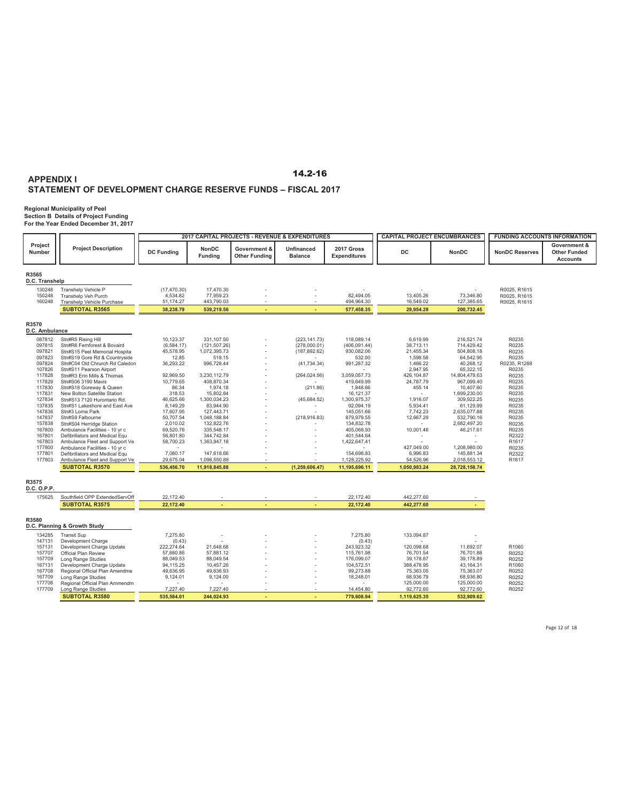**Regional Municipality of Peel Section B Details of Project Funding For the Year Ended December 31, 2017**

|                         |                                                                  |                        |                                |                                      | 2017 CAPITAL PROJECTS - REVENUE & EXPENDITURES |                                   | <b>CAPITAL PROJECT ENCUMBRANCES</b> |                            | <b>FUNDING ACCOUNTS INFORMATION</b> |                                                        |
|-------------------------|------------------------------------------------------------------|------------------------|--------------------------------|--------------------------------------|------------------------------------------------|-----------------------------------|-------------------------------------|----------------------------|-------------------------------------|--------------------------------------------------------|
| Project<br>Number       | <b>Project Description</b>                                       | <b>DC Funding</b>      | <b>NonDC</b><br><b>Funding</b> | Government &<br><b>Other Funding</b> | <b>Unfinanced</b><br><b>Balance</b>            | 2017 Gross<br><b>Expenditures</b> | <b>DC</b>                           | <b>NonDC</b>               | <b>NonDC Reserves</b>               | Government &<br><b>Other Funded</b><br><b>Accounts</b> |
| R3565<br>D.C. Transhelp |                                                                  |                        |                                |                                      |                                                |                                   |                                     |                            |                                     |                                                        |
| 130248                  | Transhelp Vehicle P                                              | (17, 470.30)           | 17,470.30                      |                                      |                                                |                                   |                                     |                            | R0025, R1615                        |                                                        |
| 150248                  | Transhelp Veh Purch                                              | 4,534.82               | 77,959.23                      |                                      |                                                | 82,494.05                         | 13,405.26                           | 73,346.80                  | R0025, R1615                        |                                                        |
| 160248                  | Transhelp Vehicle Purchase                                       | 51,174.27              | 443,790.03                     |                                      |                                                | 494,964.30                        | 16,549.02                           | 127,385.65                 | R0025, R1615                        |                                                        |
|                         | <b>SUBTOTAL R3565</b>                                            | 38,238.79              | 539,219.56                     | ٠                                    | ٠                                              | 577,458.35                        | 29,954.28                           | 200,732.45                 |                                     |                                                        |
| R3570<br>D.C. Ambulance |                                                                  |                        |                                |                                      |                                                |                                   |                                     |                            |                                     |                                                        |
| 087812                  | Stn#R5 Rising Hill                                               | 10,123.37              | 331,107.50                     |                                      | (223, 141.73)                                  | 118,089.14                        | 6,619.99                            | 216,521.74                 | R0235                               |                                                        |
| 097815                  | Stn#R6 Fernforest & Bovaird                                      | (6, 584.17)            | (121, 507.26)                  |                                      | (278,000.01)                                   | (406, 091.44)                     | 38,713.11                           | 714,429.42                 | R0235                               |                                                        |
| 097821                  | Stn#S15 Peel Memorial Hospita                                    | 45,578.95              | 1,072,395.73                   |                                      | (187, 892.62)                                  | 930,082.06                        | 21,455.34                           | 504,808.18                 | R0235                               |                                                        |
| 097823                  | Stn#S19 Gore Rd & Countryside                                    | 12.85                  | 519.15                         |                                      |                                                | 532.00                            | 1,598.58                            | 64,542.95                  | R0235                               |                                                        |
| 097824                  | Stn#C04 Old Chrurch Rd Caledon                                   | 36,293.22              | 996,728.44                     |                                      | (41, 734.34)                                   | 991,287.32                        | 1,466.22<br>2,947.95                | 40,268.12<br>65,322.15     | R0235, R1288<br>R0235               |                                                        |
| 107826<br>117828        | Stn#S11 Pearson Airport<br>Stn#R3 Erin Mills & Thomas            | 92,969.50              | 3,230,112.79                   |                                      | (264, 024.56)                                  | 3,059,057.73                      | 426,104.87                          | 14,804,479.63              | R0235                               |                                                        |
| 117829                  | Stn#S06 3190 Mavis                                               | 10,779.65              | 408,870.34                     |                                      |                                                | 419,649.99                        | 24,787.79                           | 967,099.40                 | R0235                               |                                                        |
| 117830                  | Stn#S18 Goreway & Queen                                          | 86.34                  | 1,974.18                       |                                      | (211.86)                                       | 1,848.66                          | 455.14                              | 10,407.60                  | R0235                               |                                                        |
| 117831                  | New Bolton Satellite Station                                     | 318.53                 | 15,802.84                      |                                      |                                                | 16,121.37                         | $\sim$                              | 1,699,230.00               | R0235                               |                                                        |
| 127834                  | Stn#S13 7120 Hurontario Rd.                                      | 46,625.66              | 1,300,034.23                   |                                      | (45, 684.52)                                   | 1,300,975.37                      | 1,916.07                            | 309,922.25                 | R0235                               |                                                        |
| 137835<br>147836        | Stn#S1 Lakeshore and East Ave<br>Stn#3 Lorne Park                | 8,149.29<br>17,607.95  | 83,944.90<br>127,443.71        |                                      |                                                | 92,094.19<br>145,051.66           | 5,934.41<br>7,742.23                | 61,129.99<br>2,635,077.88  | R0235<br>R0235                      |                                                        |
| 147837                  | Stn#S9 Falbourne                                                 | 50,707.54              | 1,048,188.84                   |                                      | (218, 916.83)                                  | 879,979.55                        | 12,667.29                           | 532,790.16                 | R0235                               |                                                        |
| 157838                  | Stn#S04 Herridge Station                                         | 2,010.02               | 132,822.76                     |                                      |                                                | 134,832.78                        |                                     | 2,682,497.20               | R0235                               |                                                        |
| 167800                  | Ambulance Facilities - 10 yr c                                   | 69,520.76              | 335,548.17                     |                                      |                                                | 405,068.93                        | 10,001.46                           | 46,217.61                  | R0235                               |                                                        |
| 167801                  | Defibrillators and Medical Equ                                   | 56,801.80              | 344,742.84                     |                                      |                                                | 401,544.64                        |                                     |                            | R2322                               |                                                        |
| 167803                  | Ambulance Fleet and Support Ve                                   | 58,700.23              | 1,363,947.18                   |                                      |                                                | 1,422,647.41                      |                                     |                            | R1617                               |                                                        |
| 177800<br>177801        | Ambulance Facilities - 10 yr c<br>Defibrillators and Medical Equ | 7,080.17               | 147,618.66                     |                                      |                                                | 154,698.83                        | 427,049.00<br>6,996.83              | 1,208,980.00<br>145,881.34 | R0235<br>R2322                      |                                                        |
| 177803                  | Ambulance Fleet and Support Ve                                   | 29,675.04              | 1,098,550.88                   |                                      |                                                | 1,128,225.92                      | 54,526.96                           | 2,018,553.12               | R1617                               |                                                        |
|                         | <b>SUBTOTAL R3570</b>                                            | 536,456.70             | 11,918,845.88                  |                                      | (1, 259, 606.47)                               | 11,195,696.11                     | 1,050,983.24                        | 28,728,158.74              |                                     |                                                        |
| R3575                   |                                                                  |                        |                                |                                      |                                                |                                   |                                     |                            |                                     |                                                        |
| D.C. O.P.P.             |                                                                  |                        |                                |                                      |                                                |                                   |                                     |                            |                                     |                                                        |
| 175625                  | Southfield OPP ExtendedServOff                                   | 22,172.40              |                                |                                      |                                                | 22,172.40                         | 442,277.60                          |                            |                                     |                                                        |
|                         | <b>SUBTOTAL R3575</b>                                            | 22.172.40              |                                |                                      |                                                | 22,172.40                         | 442,277.60                          |                            |                                     |                                                        |
| R3580                   | D.C. Planning & Growth Study                                     |                        |                                |                                      |                                                |                                   |                                     |                            |                                     |                                                        |
| 134285                  | <b>Transit Sup</b>                                               | 7,275.80               |                                |                                      |                                                | 7,275.80                          | 133,094.87                          |                            |                                     |                                                        |
| 147131                  | Development Charge                                               | (0.43)                 |                                |                                      |                                                | (0.43)                            |                                     |                            |                                     |                                                        |
| 157131                  | Development Charge Update                                        | 222,274.64             | 21,648.68                      |                                      |                                                | 243,923.32                        | 120,098.68                          | 11,692.07                  | R1060                               |                                                        |
| 157707<br>157709        | Official Plan Review                                             | 57,880.86<br>88,049.53 | 57,881.12                      |                                      |                                                | 115,761.98<br>176,099.07          | 76,701.54<br>39,178.87              | 76,701.88<br>39,178.89     | R0252<br>R0252                      |                                                        |
| 167131                  | Long Range Studies<br>Development Charge Update                  | 94,115.25              | 88,049.54<br>10,457.26         |                                      |                                                | 104,572.51                        | 388,478.95                          | 43,164.31                  | R1060                               |                                                        |
| 167708                  | Regional Official Plan Amendme                                   | 49,636.95              | 49,636.93                      |                                      |                                                | 99,273.88                         | 75,363.05                           | 75,363.07                  | R0252                               |                                                        |
| 167709                  | Long Range Studies                                               | 9,124.01               | 9,124.00                       |                                      |                                                | 18,248.01                         | 68,936.79                           | 68,936.80                  | R0252                               |                                                        |
| 177708                  | Regional Official Plan Ammendm                                   |                        |                                |                                      |                                                |                                   | 125,000.00                          | 125,000.00                 | R0252                               |                                                        |
| 177709                  | Long Range Studies                                               | 7,227.40               | 7,227.40                       |                                      |                                                | 14,454.80                         | 92,772.60                           | 92,772.60                  | R0252                               |                                                        |
|                         | <b>SUBTOTAL R3580</b>                                            | 535,584.01             | 244,024.93                     |                                      |                                                | 779,608.94                        | 1,119,625.35                        | 532,809.62                 |                                     |                                                        |

Page 12 of 18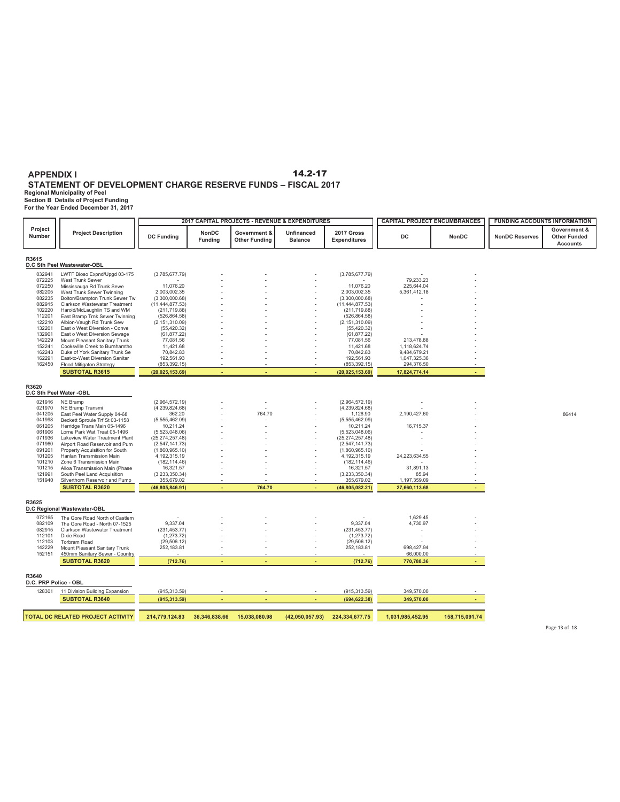**STATEMENT OF DEVELOPMENT CHARGE RESERVE FUNDS – FISCAL 2017**

**Regional Municipality of Peel Section B Details of Project Funding For the Year Ended December 31, 2017**

| For the Year Ended December 31. 2017 |  |
|--------------------------------------|--|
|--------------------------------------|--|

|                                      |                                                                  |                                     | 2017 CAPITAL PROJECTS - REVENUE & EXPENDITURES |                                      | <b>CAPITAL PROJECT ENCUMBRANCES</b> |                                     | <b>FUNDING ACCOUNTS INFORMATION</b> |                |                       |                                                        |
|--------------------------------------|------------------------------------------------------------------|-------------------------------------|------------------------------------------------|--------------------------------------|-------------------------------------|-------------------------------------|-------------------------------------|----------------|-----------------------|--------------------------------------------------------|
| Project<br>Number                    | <b>Project Description</b>                                       | <b>DC Funding</b>                   | NonDC<br><b>Funding</b>                        | Government &<br><b>Other Funding</b> | Unfinanced<br><b>Balance</b>        | 2017 Gross<br><b>Expenditures</b>   | <b>DC</b>                           | NonDC          | <b>NonDC Reserves</b> | Government &<br><b>Other Funded</b><br><b>Accounts</b> |
| R3615<br>D.C Sth Peel Wastewater-OBL |                                                                  |                                     |                                                |                                      |                                     |                                     |                                     |                |                       |                                                        |
| 032941                               | LWTF Bioso Expnd/Upgd 03-175                                     | (3,785,677.79)                      |                                                |                                      |                                     | (3,785,677.79)                      |                                     |                |                       |                                                        |
| 072225                               | West Trunk Sewer                                                 |                                     |                                                |                                      |                                     |                                     | 79,233.23                           |                |                       |                                                        |
| 072250<br>082205                     | Mississauga Rd Trunk Sewe<br>West Trunk Sewer Twinning           | 11,076.20<br>2,003,002.35           |                                                |                                      |                                     | 11,076.20<br>2,003,002.35           | 225,644.04<br>5,361,412.18          |                |                       |                                                        |
| 082235                               | Bolton/Brampton Trunk Sewer Tw                                   | (3,300,000.68)                      |                                                |                                      |                                     | (3,300,000.68)                      |                                     |                |                       |                                                        |
| 082915                               | Clarkson Wastewater Treatment                                    | (11, 444, 877.53)                   |                                                |                                      |                                     | (11, 444, 877.53)                   |                                     |                |                       |                                                        |
| 102220                               | Harold/McLaughlin TS and WM                                      | (211, 719.88)                       |                                                |                                      |                                     | (211, 719.88)                       |                                     |                |                       |                                                        |
| 112201                               | East Bramp Trnk Sewer Twinning                                   | (526, 864.58)                       |                                                |                                      |                                     | (526, 864.58)                       |                                     |                |                       |                                                        |
| 122210<br>132201                     | Albion-Vaugh Rd Trunk Sew<br>East o West Diversion - Conve       | (2, 151, 310.09)<br>(55, 420.32)    |                                                |                                      |                                     | (2, 151, 310.09)<br>(55, 420.32)    |                                     |                |                       |                                                        |
| 132901                               | East o West Diversion Sewage                                     | (61, 877.22)                        |                                                |                                      |                                     | (61, 877.22)                        |                                     |                |                       |                                                        |
| 142229                               | Mount Pleasant Sanitary Trunk                                    | 77,081.56                           |                                                |                                      |                                     | 77,081.56                           | 213,478.88                          |                |                       |                                                        |
| 152241                               | Cooksville Creek to Burnhamtho                                   | 11,421.68                           |                                                |                                      |                                     | 11,421.68                           | 1,118,624.74                        |                |                       |                                                        |
| 162243                               | Duke of York Sanitary Trunk Se                                   | 70,842.83                           |                                                |                                      |                                     | 70,842.83                           | 9,484,679.21                        |                |                       |                                                        |
| 162291<br>162450                     | East-to-West Diversion Sanitar                                   | 192,561.93<br>(853, 392.15)         |                                                |                                      |                                     | 192,561.93<br>(853, 392.15)         | 1,047,325.36<br>294,376.50          |                |                       |                                                        |
|                                      | Flood Mitigaton Strategy<br><b>SUBTOTAL R3615</b>                | (20, 025, 153.69)                   |                                                |                                      |                                     | (20, 025, 153.69)                   | 17,824,774.14                       |                |                       |                                                        |
|                                      |                                                                  |                                     |                                                |                                      |                                     |                                     |                                     |                |                       |                                                        |
| R3620                                |                                                                  |                                     |                                                |                                      |                                     |                                     |                                     |                |                       |                                                        |
|                                      | D.C Sth Peel Water -OBL                                          |                                     |                                                |                                      |                                     |                                     |                                     |                |                       |                                                        |
|                                      |                                                                  |                                     |                                                |                                      |                                     |                                     |                                     |                |                       |                                                        |
| 021916<br>021970                     | NE Bramp<br>NE Bramp Transmi                                     | (2,964,572.19)<br>(4,239,824.68)    |                                                |                                      |                                     | (2,964,572.19)<br>(4,239,824.68)    |                                     |                |                       |                                                        |
| 041205                               | East Peel Water Supply 04-68                                     | 362.20                              |                                                | 764.70                               |                                     | 1,126.90                            | 2,190,427.60                        |                |                       | 86414                                                  |
| 041998                               | Beckett Sproule Trf St 03-1158                                   | (5,555,462.09)                      |                                                |                                      |                                     | (5,555,462.09)                      |                                     |                |                       |                                                        |
| 061205                               | Herridge Trans Main 05-1496                                      | 10,211.24                           |                                                |                                      |                                     | 10,211.24                           | 16,715.37                           |                |                       |                                                        |
| 061906                               | Lorne Park Wat Treat 05-1496                                     | (5,523,048.06)                      |                                                |                                      |                                     | (5,523,048.06)                      |                                     |                |                       |                                                        |
| 071936<br>071960                     | Lakeview Water Treatment Plant<br>Airport Road Reservoir and Pum | (25, 274, 257.48)<br>(2,547,141.73) |                                                |                                      |                                     | (25, 274, 257.48)<br>(2,547,141.73) |                                     |                |                       |                                                        |
| 091201                               | Property Acquisition for South                                   | (1,860,965.10)                      |                                                |                                      |                                     | (1,860,965.10)                      |                                     |                |                       |                                                        |
| 101205                               | Hanlan Transmission Main                                         | 4,192,315.19                        |                                                |                                      |                                     | 4,192,315.19                        | 24,223,634.55                       |                |                       |                                                        |
| 101210                               | Zone 6 Transmission Main                                         | (182, 114.46)                       |                                                |                                      |                                     | (182, 114.46)                       |                                     |                |                       |                                                        |
| 101215                               | Alloa Transmission Main (Phase                                   | 16,321.57                           |                                                |                                      |                                     | 16,321.57                           | 31,891.13                           |                |                       |                                                        |
| 121991<br>151940                     | South Peel Land Acquisition<br>Silverthorn Reservoir and Pump    | (3,233,350.34)<br>355,679.02        |                                                |                                      |                                     | (3,233,350.34)<br>355,679.02        | 85.94<br>1,197,359.09               |                |                       |                                                        |
|                                      | <b>SUBTOTAL R3620</b>                                            | (46,805,846.91)                     |                                                | 764.70                               |                                     | (46, 805, 082.21)                   | 27,660,113.68                       | $\sim$         |                       |                                                        |
|                                      |                                                                  |                                     |                                                |                                      |                                     |                                     |                                     |                |                       |                                                        |
| R3625                                | D.C Regional Wastewater-OBL                                      |                                     |                                                |                                      |                                     |                                     |                                     |                |                       |                                                        |
| 072165                               | The Gore Road North of Castlem                                   |                                     |                                                |                                      |                                     |                                     | 1,629.45                            |                |                       |                                                        |
| 082109                               | The Gore Road - North 07-1525                                    | 9,337.04                            |                                                |                                      |                                     | 9,337.04                            | 4,730.97                            |                |                       |                                                        |
| 082915<br>112101                     | Clarkson Wastewater Treatment<br>Dixie Road                      | (231, 453.77)<br>(1, 273.72)        |                                                |                                      |                                     | (231, 453.77)<br>(1, 273.72)        |                                     |                |                       |                                                        |
| 112103                               | Torbram Road                                                     | (29, 506.12)                        |                                                |                                      |                                     | (29, 506.12)                        |                                     |                |                       |                                                        |
| 142229                               | Mount Pleasant Sanitary Trunk                                    | 252,183.81                          |                                                |                                      |                                     | 252,183.81                          | 698,427.94                          |                |                       |                                                        |
| 152151                               | 450mm Sanitary Sewer - Country                                   |                                     |                                                |                                      |                                     |                                     | 66,000.00                           |                |                       |                                                        |
|                                      | <b>SUBTOTAL R3620</b>                                            | (712.76)                            |                                                |                                      |                                     | (712.76)                            | 770,788.36                          |                |                       |                                                        |
| R3640                                |                                                                  |                                     |                                                |                                      |                                     |                                     |                                     |                |                       |                                                        |
| D.C. PRP Police - OBL                |                                                                  |                                     |                                                |                                      |                                     |                                     |                                     |                |                       |                                                        |
| 128301                               | 11 Division Building Expansion                                   | (915, 313.59)                       |                                                |                                      |                                     | (915, 313.59)                       | 349,570.00                          |                |                       |                                                        |
|                                      | <b>SUBTOTAL R3640</b>                                            | (915, 313.59)                       |                                                |                                      |                                     | (694, 622.38)                       | 349,570.00                          |                |                       |                                                        |
|                                      |                                                                  |                                     |                                                |                                      |                                     |                                     |                                     |                |                       |                                                        |
|                                      | <b>TOTAL DC RELATED PROJECT ACTIVITY</b>                         | 214,779,124.83                      | 36,346,838.66                                  | 15,038,080.98                        | (42,050,057.93)                     | 224,334,677.75                      | 1,031,985,452.95                    | 158,715,091.74 |                       |                                                        |

Page 13 of 18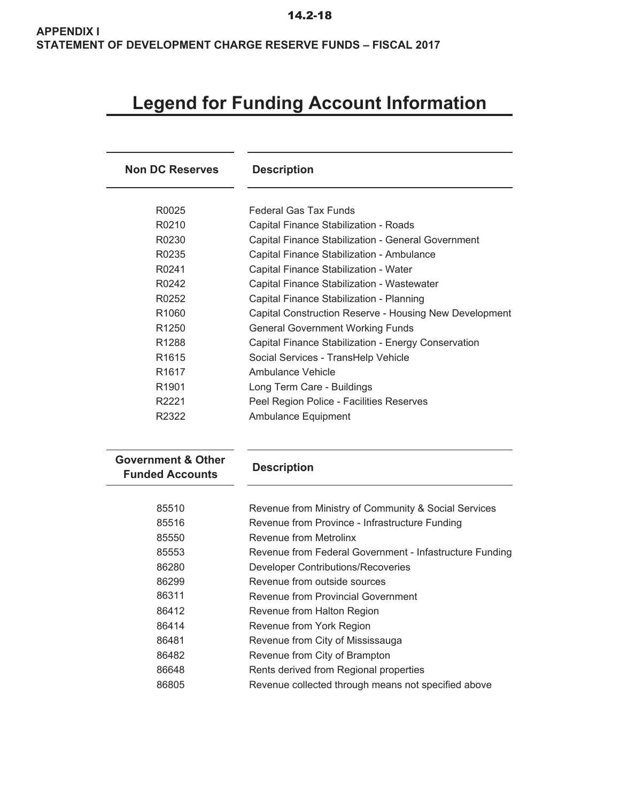# **Legend for Funding Account Information**

| <b>Non DC Reserves</b>                                  | <b>Description</b>                                      |
|---------------------------------------------------------|---------------------------------------------------------|
| R0025                                                   | <b>Federal Gas Tax Funds</b>                            |
| R0210                                                   | Capital Finance Stabilization - Roads                   |
| R0230                                                   | Capital Finance Stabilization - General Government      |
| R0235                                                   | Capital Finance Stabilization - Ambulance               |
| R0241                                                   | Capital Finance Stabilization - Water                   |
| R0242                                                   | Capital Finance Stabilization - Wastewater              |
| R0252                                                   | Capital Finance Stabilization - Planning                |
| R <sub>1060</sub>                                       | Capital Construction Reserve - Housing New Development  |
| R <sub>1250</sub>                                       | <b>General Government Working Funds</b>                 |
| R <sub>1288</sub>                                       | Capital Finance Stabilization - Energy Conservation     |
| R <sub>1615</sub>                                       | Social Services - TransHelp Vehicle                     |
| R <sub>1617</sub>                                       | <b>Ambulance Vehicle</b>                                |
| R1901                                                   | Long Term Care - Buildings                              |
| R2221                                                   | Peel Region Police - Facilities Reserves                |
| R2322                                                   | Ambulance Equipment                                     |
| <b>Government &amp; Other</b><br><b>Funded Accounts</b> | <b>Description</b>                                      |
|                                                         |                                                         |
| 85510                                                   | Revenue from Ministry of Community & Social Services    |
| 85516                                                   | Revenue from Province - Infrastructure Funding          |
| 85550                                                   | Revenue from Metrolinx                                  |
| 85553                                                   | Revenue from Federal Government - Infastructure Funding |
| 86280                                                   | <b>Developer Contributions/Recoveries</b>               |
| 86299                                                   | Revenue from outside sources                            |
| 86311                                                   | <b>Revenue from Provincial Government</b>               |
| 86412                                                   | Revenue from Halton Region                              |
| 86414                                                   | Revenue from York Region                                |
| 86481                                                   | Revenue from City of Mississauga                        |
| 86482                                                   | Revenue from City of Brampton                           |
| 86648                                                   | Rents derived from Regional properties                  |
| 86805                                                   | Revenue collected through means not specified above     |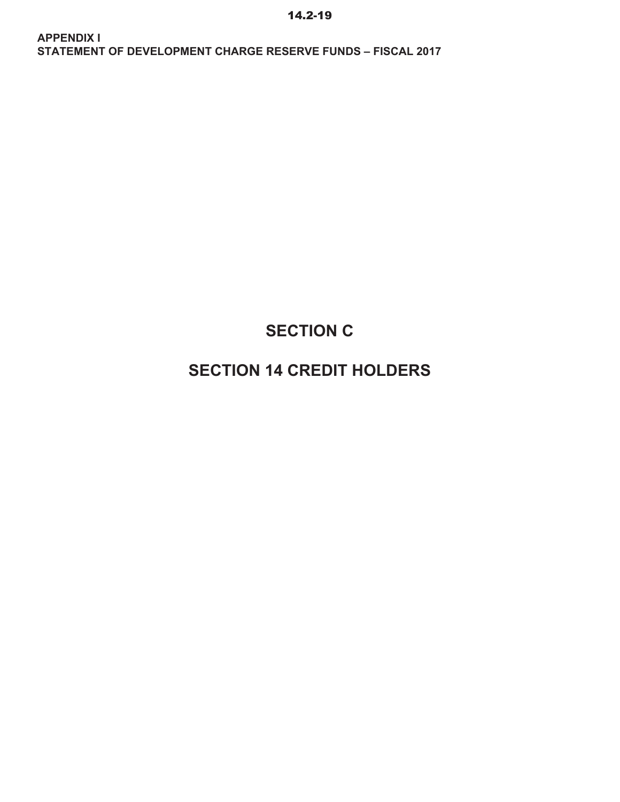# **SECTION C**

# **SECTION 14 CREDIT HOLDERS**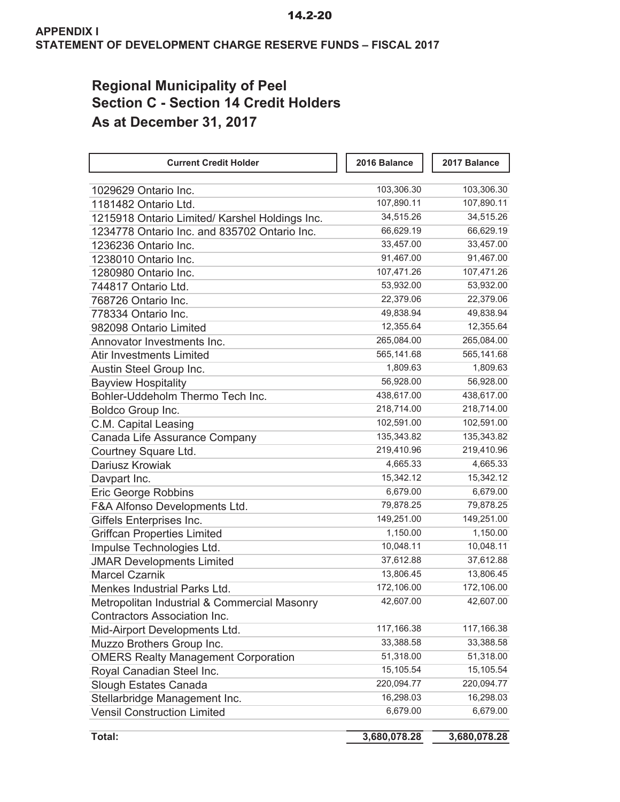## **Regional Municipality of Peel Section C - Section 14 Credit Holders As at December 31, 2017**

| <b>Current Credit Holder</b>                   | 2016 Balance | 2017 Balance |  |
|------------------------------------------------|--------------|--------------|--|
| 1029629 Ontario Inc.                           | 103,306.30   | 103,306.30   |  |
| 1181482 Ontario Ltd.                           | 107,890.11   | 107,890.11   |  |
| 1215918 Ontario Limited/ Karshel Holdings Inc. | 34,515.26    | 34,515.26    |  |
| 1234778 Ontario Inc. and 835702 Ontario Inc.   | 66,629.19    | 66,629.19    |  |
| 1236236 Ontario Inc.                           | 33,457.00    | 33,457.00    |  |
| 1238010 Ontario Inc.                           | 91,467.00    | 91,467.00    |  |
| 1280980 Ontario Inc.                           | 107,471.26   | 107,471.26   |  |
| 744817 Ontario Ltd.                            | 53,932.00    | 53,932.00    |  |
| 768726 Ontario Inc.                            | 22,379.06    | 22,379.06    |  |
| 778334 Ontario Inc.                            | 49,838.94    | 49,838.94    |  |
| 982098 Ontario Limited                         | 12,355.64    | 12,355.64    |  |
| Annovator Investments Inc.                     | 265,084.00   | 265,084.00   |  |
| <b>Atir Investments Limited</b>                | 565,141.68   | 565,141.68   |  |
| Austin Steel Group Inc.                        | 1,809.63     | 1,809.63     |  |
| <b>Bayview Hospitality</b>                     | 56,928.00    | 56,928.00    |  |
| Bohler-Uddeholm Thermo Tech Inc.               | 438,617.00   | 438,617.00   |  |
| Boldco Group Inc.                              | 218,714.00   | 218,714.00   |  |
| C.M. Capital Leasing                           | 102,591.00   | 102,591.00   |  |
| Canada Life Assurance Company                  | 135,343.82   | 135,343.82   |  |
| Courtney Square Ltd.                           | 219,410.96   | 219,410.96   |  |
| Dariusz Krowiak                                | 4,665.33     | 4,665.33     |  |
| Davpart Inc.                                   | 15,342.12    | 15,342.12    |  |
| <b>Eric George Robbins</b>                     | 6,679.00     | 6,679.00     |  |
| F&A Alfonso Developments Ltd.                  | 79,878.25    | 79,878.25    |  |
| Giffels Enterprises Inc.                       | 149,251.00   | 149,251.00   |  |
| <b>Griffcan Properties Limited</b>             | 1,150.00     | 1,150.00     |  |
| Impulse Technologies Ltd.                      | 10,048.11    | 10,048.11    |  |
| <b>JMAR Developments Limited</b>               | 37,612.88    | 37,612.88    |  |
| <b>Marcel Czarnik</b>                          | 13,806.45    | 13,806.45    |  |
| Menkes Industrial Parks Ltd.                   | 172,106.00   | 172,106.00   |  |
| Metropolitan Industrial & Commercial Masonry   | 42,607.00    | 42,607.00    |  |
| <b>Contractors Association Inc.</b>            |              |              |  |
| Mid-Airport Developments Ltd.                  | 117,166.38   | 117,166.38   |  |
| Muzzo Brothers Group Inc.                      | 33,388.58    | 33,388.58    |  |
| <b>OMERS Realty Management Corporation</b>     | 51,318.00    | 51,318.00    |  |
| Royal Canadian Steel Inc.                      | 15,105.54    | 15,105.54    |  |
| Slough Estates Canada                          | 220,094.77   | 220,094.77   |  |
| Stellarbridge Management Inc.                  | 16,298.03    | 16,298.03    |  |
| <b>Vensil Construction Limited</b>             | 6,679.00     | 6,679.00     |  |
| Total:                                         | 3,680,078.28 | 3,680,078.28 |  |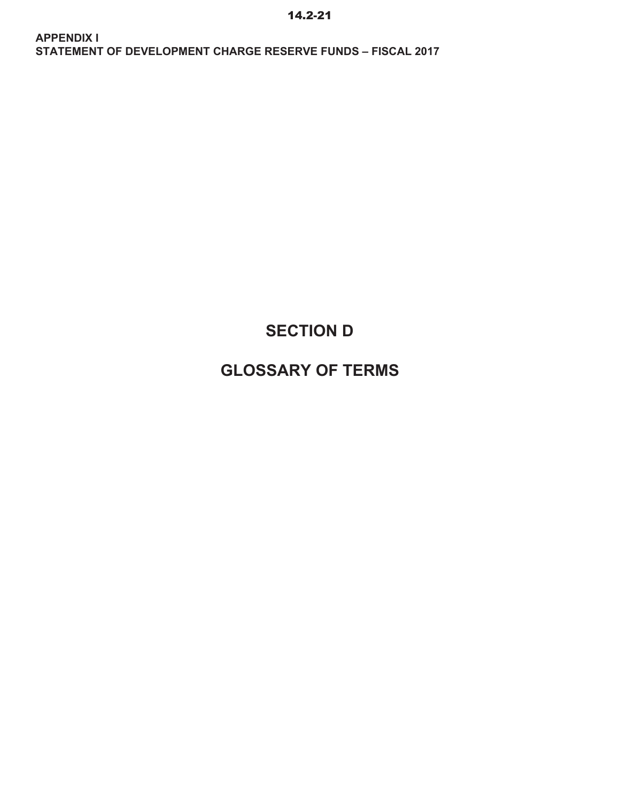# **SECTION D**

# **GLOSSARY OF TERMS**